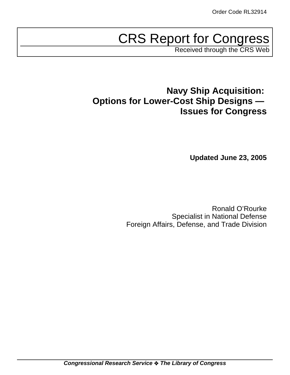# CRS Report for Congress

Received through the CRS Web

**Navy Ship Acquisition: Options for Lower-Cost Ship Designs — Issues for Congress**

**Updated June 23, 2005**

Ronald O'Rourke Specialist in National Defense Foreign Affairs, Defense, and Trade Division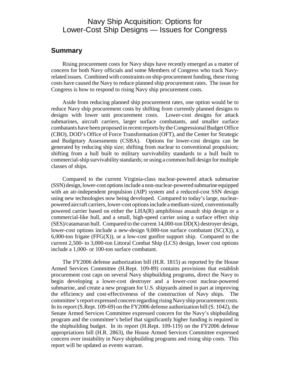# Navy Ship Acquisition: Options for Lower-Cost Ship Designs — Issues for Congress

### **Summary**

Rising procurement costs for Navy ships have recently emerged as a matter of concern for both Navy officials and some Members of Congress who track Navyrelated issues. Combined with constraints on ship-procurement funding, these rising costs have caused the Navy to reduce planned ship procurement rates. The issue for Congress is how to respond to rising Navy ship procurement costs.

Aside from reducing planned ship procurement rates, one option would be to reduce Navy ship procurement costs by shifting from currently planned designs to designs with lower unit procurement costs. Lower-cost designs for attack submarines, aircraft carriers, larger surface combatants, and smaller surface combatants have been proposed in recent reports by the Congressional Budget Office (CBO), DOD's Office of Force Transformation (OFT), and the Center for Strategic and Budgetary Assessments (CSBA). Options for lower-cost designs can be generated by reducing ship size; shifting from nuclear to conventional propulsion; shifting from a hull built to military survivability standards to a hull built to commercial-ship survivability standards; or using a common hull design for multiple classes of ships.

Compared to the current Virginia-class nuclear-powered attack submarine (SSN) design, lower-cost options include a non-nuclear-powered submarine equipped with an air-independent propulsion (AIP) system and a reduced-cost SSN design using new technologies now being developed. Compared to today's large, nuclearpowered aircraft carriers, lower-cost options include a medium-sized, conventionally powered carrier based on either the LHA(R) amphibious assault ship design or a commercial-like hull, and a small, high-speed carrier using a surface effect ship  $(SES)/catamaran hull$ . Compared to the current 14,000-ton  $DD(X)$  destroyer design, lower-cost options include a new-design 9,000-ton surface combatant  $(SC(X))$ , a 6,000-ton frigate ( $FFG(X)$ ), or a low-cost gunfire support ship. Compared to the current 2,500- to 3,000-ton Littoral Combat Ship (LCS) design, lower cost options include a 1,000- or 100-ton surface combatant.

The FY2006 defense authorization bill (H.R. 1815) as reported by the House Armed Services Committee (H.Rept. 109-89) contains provisions that establish procurement cost caps on several Navy shipbuilding programs, direct the Navy to begin developing a lower-cost destroyer and a lower-cost nuclear-powered submarine, and create a new program for U.S. shipyards aimed in part at improving the efficiency and cost-effectiveness of the construction of Navy ships. The committee's report expressed concern regarding rising Navy ship procurement costs. In its report (S.Rept. 109-69) on the FY2006 defense authorization bill (S. 1042), the Senate Armed Services Committee expressed concern for the Navy's shipbuilding program and the committee's belief that significantly higher funding is required in the shipbuilding budget. In its report (H.Rept. 109-119) on the FY2006 defense appropriations bill (H.R. 2863), the House Armed Services Committee expressed concern over instability in Navy shipbuilding programs and rising ship costs. This report will be updated as events warrant.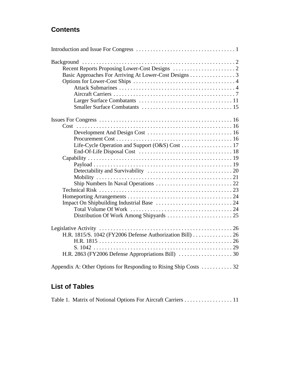# **Contents**

| Basic Approaches For Arriving At Lower-Cost Designs 3             |
|-------------------------------------------------------------------|
|                                                                   |
|                                                                   |
|                                                                   |
|                                                                   |
|                                                                   |
|                                                                   |
|                                                                   |
|                                                                   |
|                                                                   |
|                                                                   |
|                                                                   |
|                                                                   |
|                                                                   |
|                                                                   |
|                                                                   |
|                                                                   |
|                                                                   |
|                                                                   |
|                                                                   |
|                                                                   |
|                                                                   |
|                                                                   |
|                                                                   |
| H.R. 1815/S. 1042 (FY2006 Defense Authorization Bill) 26          |
|                                                                   |
|                                                                   |
|                                                                   |
|                                                                   |
| Appendix A: Other Options for Responding to Rising Ship Costs  32 |

# **List of Tables**

|  |  | Table 1. Matrix of Notional Options For Aircraft Carriers 11 |  |
|--|--|--------------------------------------------------------------|--|
|--|--|--------------------------------------------------------------|--|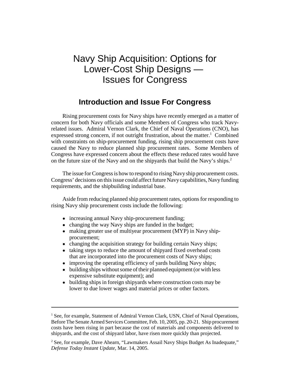# Navy Ship Acquisition: Options for Lower-Cost Ship Designs — Issues for Congress

# **Introduction and Issue For Congress**

Rising procurement costs for Navy ships have recently emerged as a matter of concern for both Navy officials and some Members of Congress who track Navyrelated issues. Admiral Vernon Clark, the Chief of Naval Operations (CNO), has expressed strong concern, if not outright frustration, about the matter.<sup>1</sup> Combined with constraints on ship-procurement funding, rising ship procurement costs have caused the Navy to reduce planned ship procurement rates. Some Members of Congress have expressed concern about the effects these reduced rates would have on the future size of the Navy and on the shipyards that build the Navy's ships.<sup>2</sup>

The issue for Congress is how to respond to rising Navy ship procurement costs. Congress' decisions on this issue could affect future Navy capabilities, Navy funding requirements, and the shipbuilding industrial base.

Aside from reducing planned ship procurement rates, options for responding to rising Navy ship procurement costs include the following:

- increasing annual Navy ship-procurement funding;
- changing the way Navy ships are funded in the budget;
- making greater use of multiyear procurement (MYP) in Navy shipprocurement;
- changing the acquisition strategy for building certain Navy ships;
- taking steps to reduce the amount of shipyard fixed overhead costs that are incorporated into the procurement costs of Navy ships;
- improving the operating efficiency of yards building Navy ships;
- building ships without some of their planned equipment (or with less expensive substitute equipment); and
- building ships in foreign shipyards where construction costs may be lower to due lower wages and material prices or other factors.

<sup>&</sup>lt;sup>1</sup> See, for example, Statement of Admiral Vernon Clark, USN, Chief of Naval Operations, Before The Senate Armed Services Committee, Feb. 10, 2005, pp. 20-21. Ship procurement costs have been rising in part because the cost of materials and components delivered to shipyards, and the cost of shipyard labor, have risen more quickly than projected.

 $2^2$  See, for example, Dave Ahearn, "Lawmakers Assail Navy Ships Budget As Inadequate," *Defense Today Instant Update*, Mar. 14, 2005.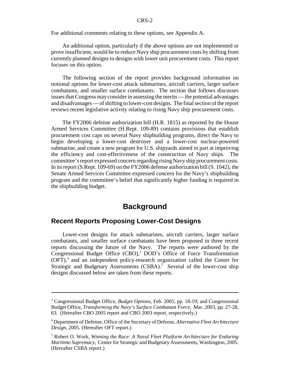For additional comments relating to these options, see Appendix A.

An additional option, particularly if the above options are not implemented or prove insufficient, would be to reduce Navy ship procurement costs by shifting from currently planned designs to designs with lower unit procurement costs. This report focuses on this option.

The following section of the report provides background information on notional options for lower-cost attack submarines, aircraft carriers, larger surface combatants, and smaller surface combatants. The section that follows discusses issues that Congress may consider in assessing the merits — the potential advantages and disadvantages — of shifting to lower-cost designs. The final section of the report reviews recent legislative activity relating to rising Navy ship procurement costs.

The FY2006 defense authorization bill (H.R. 1815) as reported by the House Armed Services Committee (H.Rept. 109-89) contains provisions that establish procurement cost caps on several Navy shipbuilding programs, direct the Navy to begin developing a lower-cost destroyer and a lower-cost nuclear-powered submarine, and create a new program for U.S. shipyards aimed in part at improving the efficiency and cost-effectiveness of the construction of Navy ships. The committee's report expressed concern regarding rising Navy ship procurement costs. In its report (S.Rept. 109-69) on the FY2006 defense authorization bill (S. 1042), the Senate Armed Services Committee expressed concern for the Navy's shipbuilding program and the committee's belief that significantly higher funding is required in the shipbuilding budget.

## **Background**

#### **Recent Reports Proposing Lower-Cost Designs**

Lower-cost designs for attack submarines, aircraft carriers, larger surface combatants, and smaller surface combatants have been proposed in three recent reports discussing the future of the Navy. The reports were authored by the Congressional Budget Office (CBO),<sup>3</sup> DOD's Office of Force Transformation (OFT),<sup>4</sup> and an independent policy-research organization called the Center for Strategic and Budgetary Assessments (CSBA).<sup>5</sup> Several of the lower-cost ship designs discussed below are taken from these reports.

<sup>3</sup> Congressional Budget Office, *Budget Options*, Feb. 2005, pp. 18-19; and Congressional Budget Office, *Transforming the Navy's Surface Combatant Force*, Mar. 2003, pp. 27-28, 63. (Hereafter CBO 2005 report and CBO 2003 report, respectively.)

<sup>4</sup> Department of Defense, Office of the Secretary of Defense, *Alternative Fleet Architecture Design*, 2005. (Hereafter OFT report.)

<sup>5</sup> Robert O. Work, *Winning the Race: A Naval Fleet Platform Architecture for Enduring Maritime Supremacy*, Center for Strategic and Budgetary Assessments, Washington, 2005. (Hereafter CSBA report.)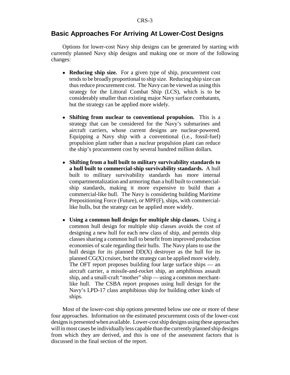#### **Basic Approaches For Arriving At Lower-Cost Designs**

Options for lower-cost Navy ship designs can be generated by starting with currently planned Navy ship designs and making one or more of the following changes:

- ! **Reducing ship size.** For a given type of ship, procurement cost tends to be broadly proportional to ship size. Reducing ship size can thus reduce procurement cost. The Navy can be viewed as using this strategy for the Littoral Combat Ship (LCS), which is to be considerably smaller than existing major Navy surface combatants, but the strategy can be applied more widely.
- ! **Shifting from nuclear to conventional propulsion.** This is a strategy that can be considered for the Navy's submarines and aircraft carriers, whose current designs are nuclear-powered. Equipping a Navy ship with a conventional (i.e., fossil-fuel) propulsion plant rather than a nuclear propulsion plant can reduce the ship's procurement cost by several hundred million dollars.
- ! **Shifting from a hull built to military survivability standards to a hull built to commercial-ship survivability standards.** A hull built to military survivability standards has more internal compartmentalization and armoring than a hull built to commercialship standards, making it more expensive to build than a commercial-like hull. The Navy is considering building Maritime Prepositioning Force (Future), or MPF(F), ships, with commerciallike hulls, but the strategy can be applied more widely.
- ! **Using a common hull design for multiple ship classes.** Using a common hull design for multiple ship classes avoids the cost of designing a new hull for each new class of ship, and permits ship classes sharing a common hull to benefit from improved production economies of scale regarding their hulls. The Navy plans to use the hull design for its planned  $DD(X)$  destroyer as the hull for its planned CG(X) cruiser, but the strategy can be applied more widely. The OFT report proposes building four large surface ships — an aircraft carrier, a missile-and-rocket ship, an amphibious assault ship, and a small-craft "mother" ship — using a common merchantlike hull. The CSBA report proposes using hull design for the Navy's LPD-17 class amphibious ship for building other kinds of ships.

Most of the lower-cost ship options presented below use one or more of these four approaches. Information on the estimated procurement costs of the lower-cost designs is presented when available. Lower-cost ship designs using these approaches will in most cases be individually less capable than the currently planned ship designs from which they are derived, and this is one of the assessment factors that is discussed in the final section of the report.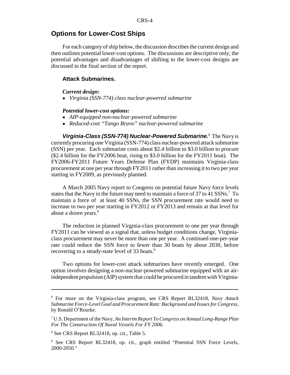#### **Options for Lower-Cost Ships**

For each category of ship below, the discussion describes the current design and then outlines potential lower-cost options. The discussions are descriptive only; the potential advantages and disadvantages of shifting to the lower-cost designs are discussed in the final section of the report.

#### **Attack Submarines.**

#### *Current design***:**

! *Virginia (SSN-774) class nuclear-powered submarine*

#### *Potential lower-cost options:*

- ! *AIP-equipped non-nuclear-powered submarine*
- ! *Reduced-cost "Tango Bravo" nuclear-powered submarine*

Virginia-Class (SSN-774) Nuclear-Powered Submarine.<sup>6</sup> The Navy is currently procuring one Virginia (SSN-774) class nuclear-powered attack submarine (SSN) per year. Each submarine costs about \$2.4 billion to \$3.0 billion to procure (\$2.4 billion for the FY2006 boat, rising to \$3.0 billion for the FY2011 boat). The FY2006-FY2011 Future Years Defense Plan (FYDP) maintains Virginia-class procurement at one per year through FY2011 rather than increasing it to two per year starting in FY2009, as previously planned.

A March 2005 Navy report to Congress on potential future Navy force levels states that the Navy in the future may need to maintain a force of 37 to 41 SSNs.<sup>7</sup> To maintain a force of at least 40 SSNs, the SSN procurement rate would need to increase to two per year starting in FY2012 or FY2013 and remain at that level for about a dozen years.<sup>8</sup>

The reduction in planned Virginia-class procurement to one per year through FY2011 can be viewed as a signal that, unless budget conditions change, Virginiaclass procurement may never be more than one per year. A continued one-per-year rate could reduce the SSN force to fewer than 30 boats by about 2030, before recovering to a steady-state level of 33 boats.<sup>9</sup>

Two options for lower-cost attack submarines have recently emerged. One option involves designing a non-nuclear-powered submarine equipped with an airindependent propulsion (AIP) system that could be procured in tandem with Virginia-

<sup>6</sup> For more on the Virginia-class program, see CRS Report RL32418, *Navy Attack Submarine Force-Level Goal and Procurement Rate: Background and Issues for Congress*, by Ronald O'Rourke.

<sup>7</sup> U.S. Department of the Navy, *An Interim Report To Congress on Annual Long-Range Plan For The Construction Of Naval Vessels For FY 2006.*

<sup>8</sup> See CRS Report RL32418, op. cit., Table 5.

<sup>&</sup>lt;sup>9</sup> See CRS Report RL32418, op. cit., graph entitled "Potential SSN Force Levels, 2000-2050."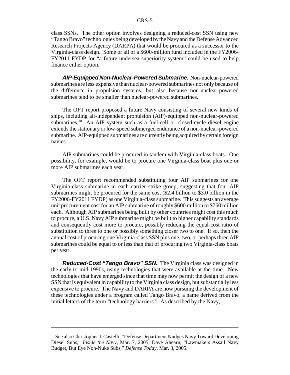class SSNs. The other option involves designing a reduced-cost SSN using new "Tango Bravo" technologies being developed by the Navy and the Defense Advanced Research Projects Agency (DARPA) that would be procured as a successor to the Virginia-class design. Some or all of a \$600-million fund included in the FY2006- FY2011 FYDP for "a future undersea superiority system" could be used to help finance either option.

*AIP-Equipped Non-Nuclear-Powered Submarine.* Non-nuclear-powered submarines are less expensive than nuclear-powered submarines not only because of the difference in propulsion systems, but also because non-nuclear-powered submarines tend to be smaller than nuclear-powered submarines.

The OFT report proposed a future Navy consisting of several new kinds of ships, including air-independent propulsion (AIP)-equipped non-nuclear-powered submarines.<sup>10</sup> An AIP system such as a fuel-cell or closed-cycle diesel engine extends the stationary or low-speed submerged endurance of a non-nuclear-powered submarine. AIP-equipped submarines are currently being acquired by certain foreign navies.

AIP submarines could be procured in tandem with Virginia-class boats. One possibility, for example, would be to procure one Virginia-class boat plus one or more AIP submarines each year.

The OFT report recommended substituting four AIP submarines for one Virginia-class submarine in each carrier strike group, suggesting that four AIP submarines might be procured for the same cost (\$2.4 billion to \$3.0 billion in the FY2006-FY2011 FYDP) as one Virginia-class submarine. This suggests an average unit procurement cost for an AIP submarine of roughly \$600 million to \$750 million each. Although AIP submarines being built by other countries might cost this much to procure, a U.S. Navy AIP submarine might be built to higher capability standards and consequently cost more to procure, possibly reducing the equal-cost ratio of substitution to three to one or possibly something closer two to one. If so, then the annual cost of procuring one Virginia-class SSN plus one, two, or perhaps three AIP submarines could be equal to or less than that of procuring two Virginia-class boats per year.

*Reduced-Cost "Tango Bravo" SSN.* The Virginia class was designed in the early to mid-1990s, using technologies that were available at the time. New technologies that have emerged since that time may now permit the design of a new SSN that is equivalent in capability to the Virginia class design, but substantially less expensive to procure. The Navy and DARPA are now pursuing the development of these technologies under a program called Tango Bravo, a name derived from the initial letters of the term "technology barriers." As described by the Navy,

<sup>&</sup>lt;sup>10</sup> See also Christopher J. Castelli, "Defense Department Nudges Navy Toward Developing Diesel Subs," *Inside the Navy*, Mar. 7, 2005; Dave Ahearn, "Lawmakers Assail Navy Budget, But Eye Non-Nuke Subs," *Defense Today*, Mar. 3, 2005.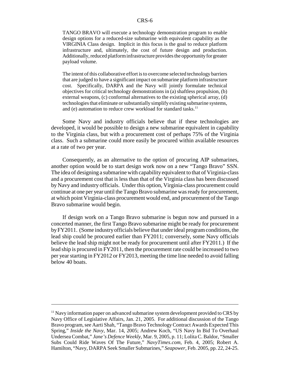TANGO BRAVO will execute a technology demonstration program to enable design options for a reduced-size submarine with equivalent capability as the VIRGINIA Class design. Implicit in this focus is the goal to reduce platform infrastructure and, ultimately, the cost of future design and production. Additionally, reduced platform infrastructure provides the opportunity for greater payload volume.

The intent of this collaborative effort is to overcome selected technology barriers that are judged to have a significant impact on submarine platform infrastructure cost. Specifically, DARPA and the Navy will jointly formulate technical objectives for critical technology demonstrations in (a) shaftless propulsion, (b) external weapons, (c) conformal alternatives to the existing spherical array, (d) technologies that eliminate or substantially simplify existing submarine systems, and (e) automation to reduce crew workload for standard tasks.<sup>11</sup>

Some Navy and industry officials believe that if these technologies are developed, it would be possible to design a new submarine equivalent in capability to the Virginia class, but with a procurement cost of perhaps 75% of the Virginia class. Such a submarine could more easily be procured within available resources at a rate of two per year.

Consequently, as an alternative to the option of procuring AIP submarines, another option would be to start design work now on a new "Tango Bravo" SSN. The idea of designing a submarine with capability equivalent to that of Virginia-class and a procurement cost that is less than that of the Virginia class has been discussed by Navy and industry officials. Under this option, Virginia-class procurement could continue at one per year until the Tango Bravo submarine was ready for procurement, at which point Virginia-class procurement would end, and procurement of the Tango Bravo submarine would begin.

If design work on a Tango Bravo submarine is begun now and pursued in a concerted manner, the first Tango Bravo submarine might be ready for procurement by FY2011. (Some industry officials believe that under ideal program conditions, the lead ship could be procured earlier than FY2011; conversely, some Navy officials believe the lead ship might not be ready for procurement until after FY2011.) If the lead ship is procured in FY2011, then the procurement rate could be increased to two per year starting in FY2012 or FY2013, meeting the time line needed to avoid falling below 40 boats.

 $11$  Navy information paper on advanced submarine system development provided to CRS by Navy Office of Legislative Affairs, Jan. 21, 2005. For additional discussion of the Tango Bravo program, see Aarti Shah, "Tango Bravo Technology Contract Awards Expected This Spring," *Inside the Navy*, Mar. 14, 2005; Andrew Koch, "US Navy In Bid To Overhaul Undersea Combat," *Jane's Defence Weekly*, Mar. 9, 2005, p. 11; Lolita C. Baldor, "Smaller Subs Could Ride Waves Of The Future," *NavyTimes.com*, Feb. 4, 2005; Robert A. Hamilton, "Navy, DARPA Seek Smaller Submarines," *Seapower*, Feb. 2005, pp. 22, 24-25.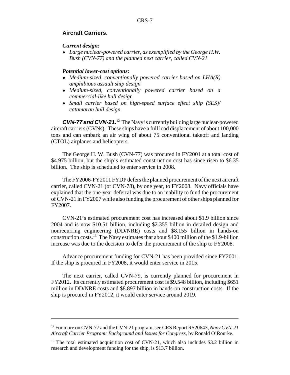#### **Aircraft Carriers.**

#### *Current design:*

! *Large nuclear-powered carrier, as exemplified by the George H.W. Bush (CVN-77) and the planned next carrier, called CVN-21*

#### *Potential lower-cost options:*

- ! *Medium-sized, conventionally powered carrier based on LHA(R) amphibious assault ship design*
- ! *Medium-sized, conventionally powered carrier based on a commercial-like hull desig*n
- ! *Small carrier based on high-speed surface effect ship (SES)/ catamaran hull design*

*CVN-77 and CVN-21.*12 The Navy is currently building large nuclear-powered aircraft carriers (CVNs). These ships have a full load displacement of about 100,000 tons and can embark an air wing of about 75 conventional takeoff and landing (CTOL) airplanes and helicopters.

The George H. W. Bush (CVN-77) was procured in FY2001 at a total cost of \$4.975 billion, but the ship's estimated construction cost has since risen to \$6.35 billion. The ship is scheduled to enter service in 2008.

The FY2006-FY2011 FYDP defers the planned procurement of the next aircraft carrier, called CVN-21 (or CVN-78), by one year, to FY2008. Navy officials have explained that the one-year deferral was due to an inability to fund the procurement of CVN-21 in FY2007 while also funding the procurement of other ships planned for FY2007.

CVN-21's estimated procurement cost has increased about \$1.9 billion since 2004 and is now \$10.51 billion, including \$2.355 billion in detailed design and nonrecurring engineering (DD/NRE) costs and \$8.155 billion in hands-on construction costs.13 The Navy estimates that about \$400 million of the \$1.9-billion increase was due to the decision to defer the procurement of the ship to FY2008.

Advance procurement funding for CVN-21 has been provided since FY2001. If the ship is procured in FY2008, it would enter service in 2015.

The next carrier, called CVN-79, is currently planned for procurement in FY2012. Its currently estimated procurement cost is \$9.548 billion, including \$651 million in DD/NRE costs and \$8.897 billion in hands-on construction costs. If the ship is procured in FY2012, it would enter service around 2019.

<sup>12</sup> For more on CVN-77 and the CVN-21 program, see CRS Report RS20643, *Navy CVN-21 Aircraft Carrier Program: Background and Issues for Congress*, by Ronald O'Rourke.

 $13$  The total estimated acquisition cost of CVN-21, which also includes \$3.2 billion in research and development funding for the ship, is \$13.7 billion.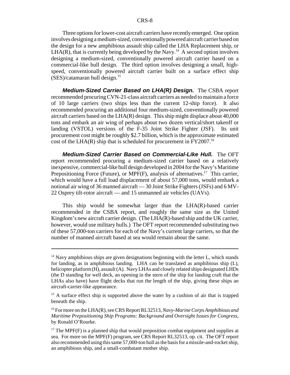Three options for lower-cost aircraft carriers have recently emerged. One option involves designing a medium-sized, conventionally powered aircraft carrier based on the design for a new amphibious assault ship called the LHA Replacement ship, or  $LHA(R)$ , that is currently being developed by the Navy.<sup>14</sup> A second option involves designing a medium-sized, conventionally powered aircraft carrier based on a commercial-like hull design. The third option involves designing a small, highspeed, conventionally powered aircraft carrier built on a surface effect ship  $(SES)/catamaran hull$  design.<sup>15</sup>

*Medium-Sized Carrier Based on LHA(R) Design.* The CSBA report recommended procuring CVN-21-class aircraft carriers as needed to maintain a force of 10 large carriers (two ships less than the current 12-ship force). It also recommended procuring an additional four medium-sized, conventionally powered aircraft carriers based on the  $LHA(R)$  design. This ship might displace about 40,000 tons and embark an air wing of perhaps about two dozen vertical/short takeoff or landing (VSTOL) versions of the F-35 Joint Strike Fighter (JSF). Its unit procurement cost might be roughly \$2.7 billion, which is the approximate estimated cost of the LHA(R) ship that is scheduled for procurement in  $FY2007<sup>16</sup>$ 

*Medium-Sized Carrier Based on Commercial-Like Hull.* The OFT report recommended procuring a medium-sized carrier based on a relatively inexpensive, commercial-like hull design developed in 2004 for the Navy's Maritime Prepositioning Force (Future), or MPF(F), analysis of alternatives.<sup>17</sup> This carrier. which would have a full load displacement of about 57,000 tons, would embark a notional air wing of 36 manned aircraft — 30 Joint Strike Fighters (JSFs) and 6 MV-22 Osprey tilt-rotor aircraft — and 15 unmanned air vehicles (UAVs).

This ship would be somewhat larger than the LHA(R)-based carrier recommended in the CSBA report, and roughly the same size as the United Kingdom's new aircraft carrier design. (The LHA(R)-based ship and the UK carrier, however, would use military hulls.) The OFT report recommended substituting two of these 57,000-ton carriers for each of the Navy's current large carriers, so that the number of manned aircraft based at sea would remain about the same.

 $<sup>14</sup>$  Navy amphibious ships are given designations beginning with the letter L, which stands</sup> for landing, as in amphibious landing. LHA can be translated as amphibious ship (L), helicopter platform (H), assault (A). Navy LHAs and closely related ships designated LHDs (the D standing for well deck, an opening in the stern of the ship for landing craft that the LHAs also have) have flight decks that run the length of the ship, giving these ships an aircraft-carrier-like appearance.

<sup>&</sup>lt;sup>15</sup> A surface effect ship is supported above the water by a cushion of air that is trapped beneath the ship.

<sup>16</sup> For more on the LHA(R), see CRS Report RL32513, *Navy-Marine Corps Amphibious and Maritime Prepositioning Ship Programs: Background and Oversight Issues for Congress*, by Ronald O'Rourke.

 $17$  The MPF(F) is a planned ship that would preposition combat equipment and supplies at sea. For more on the MPF(F) program, see CRS Report RL32513, op. cit. The OFT report also recommended using this same 57,000-ton hull as the basis for a missile-and-rocket ship, an amphibious ship, and a small-combatant mother ship.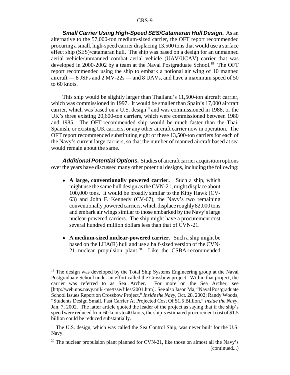*Small Carrier Using High-Speed SES/Catamaran Hull Design.* As an alternative to the 57,000-ton medium-sized carrier, the OFT report recommended procuring a small, high-speed carrier displacing 13,500 tons that would use a surface effect ship (SES)/catamaran hull. The ship was based on a design for an unmanned aerial vehicle/unmanned combat aerial vehicle (UAV/UCAV) carrier that was developed in 2000-2002 by a team at the Naval Postgraduate School.<sup>18</sup> The OFT report recommended using the ship to embark a notional air wing of 10 manned aircraft  $-8$  JSFs and  $2$  MV-22s  $-$  and  $8$  UAVs, and have a maximum speed of 50 to 60 knots.

This ship would be slightly larger than Thailand's 11,500-ton aircraft carrier, which was commissioned in 1997. It would be smaller than Spain's 17,000 aircraft carrier, which was based on a U.S. design $19$  and was commissioned in 1988, or the UK's three existing 20,600-ton carriers, which were commissioned between 1980 and 1985. The OFT-recommended ship would be much faster than the Thai, Spanish, or existing UK carriers, or any other aircraft carrier now in operation. The OFT report recommended substituting eight of these 13,500-ton carriers for each of the Navy's current large carriers, so that the number of manned aircraft based at sea would remain about the same.

*Additional Potential Options.* Studies of aircraft carrier acquisition options over the years have discussed many other potential designs, including the following:

- ! **A large, conventionally powered carrier.** Such a ship, which might use the same hull design as the CVN-21, might displace about 100,000 tons. It would be broadly similar to the Kitty Hawk (CV-63) and John F. Kennedy (CV-67), the Navy's two remaining conventionally powered carriers, which displace roughly 82,000 tons and embark air wings similar to those embarked by the Navy's large nuclear-powered carriers. The ship might have a procurement cost several hundred million dollars less than that of CVN-21.
- ! **A medium-sized nuclear-powered carrier.** Such a ship might be based on the LHA(R) hull and use a half-sized version of the CVN-21 nuclear propulsion plant.<sup>20</sup> Like the CSBA-recommended

<sup>&</sup>lt;sup>18</sup> The design was developed by the Total Ship Systems Engineering group at the Naval Postgraduate School under an effort called the Crossbow project. Within that project, the carrier was referred to as Sea Archer. For more on the Sea Archer, see [http://web.nps.navy.mil/~me/tsse/files/2001.htm]. See also Jason Ma, "Naval Postgraduate School Issues Report on Crossbow Project," *Inside the Navy*, Oct. 28, 2002; Randy Woods, "Students Design Small, Fast Carrier At Projected Cost Of \$1.5 Billion," *Inside the Navy*, Jan. 7, 2002. The latter article quoted the leader of the project as saying that if the ship's speed were reduced from 60 knots to 40 knots, the ship's estimated procurement cost of \$1.5 billion could be reduced substantially.

<sup>&</sup>lt;sup>19</sup> The U.S. design, which was called the Sea Control Ship, was never built for the U.S. Navy.

 $20$  The nuclear propulsion plant planned for CVN-21, like those on almost all the Navy's (continued...)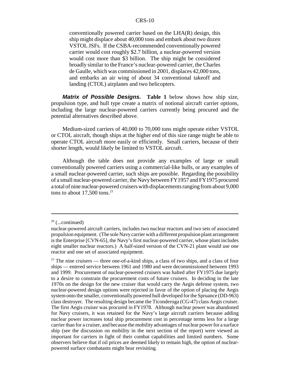conventionally powered carrier based on the LHA(R) design, this ship might displace about 40,000 tons and embark about two dozen VSTOL JSFs. If the CSBA-recommended conventionally powered carrier would cost roughly \$2.7 billion, a nuclear-powered version would cost more than \$3 billion. The ship might be considered broadly similar to the France's nuclear-powered carrier, the Charles de Gaulle, which was commissioned in 2001, displaces 42,000 tons, and embarks an air wing of about 34 conventional takeoff and landing (CTOL) airplanes and two helicopters.

*Matrix of Possible Designs.* **Table 1** below shows how ship size, propulsion type, and hull type create a matrix of notional aircraft carrier options, including the large nuclear-powered carriers currently being procured and the potential alternatives described above.

Medium-sized carriers of 40,000 to 70,000 tons might operate either VSTOL or CTOL aircraft, though ships at the higher end of this size range might be able to operate CTOL aircraft more easily or efficiently. Small carriers, because of their shorter length, would likely be limited to VSTOL aircraft.

Although the table does not provide any examples of large or small conventionally powered carriers using a commercial-like hulls, or any examples of a small nuclear-powered carrier, such ships are possible. Regarding the possibility of a small nuclear-powered carrier, the Navy between FY1957 and FY1975 procured a total of nine nuclear-powered cruisers with displacements ranging from about 9,000 tons to about  $17,500$  tons.<sup>21</sup>

 $20$  (...continued)

nuclear-powered aircraft carriers, includes two nuclear reactors and two sets of associated propulsion equipment. (The sole Navy carrier with a different propulsion plant arrangement is the Enterprise [CVN-65], the Navy's first nuclear-powered carrier, whose plant includes eight smaller nuclear reactors.) A half-sized version of the CVN-21 plant would use one reactor and one set of associated equipment.

<sup>&</sup>lt;sup>21</sup> The nine cruisers — three one-of-a-kind ships, a class of two ships, and a class of four ships — entered service between 1961 and 1980 and were decommissioned between 1993 and 1999. Procurement of nuclear-powered cruisers was halted after FY1975 due largely to a desire to constrain the procurement costs of future cruisers. In deciding in the late 1970s on the design for the new cruiser that would carry the Aegis defense system, two nuclear-powered design options were rejected in favor of the option of placing the Aegis system onto the smaller, conventionally powered hull developed for the Spruance (DD-963) class destroyer. The resulting design became the Ticonderoga (CG-47) class Aegis cruiser. The first Aegis cruiser was procured in FY1978. Although nuclear power was abandoned for Navy cruisers, it was retained for the Navy's large aircraft carriers because adding nuclear power increases total ship procurement cost in percentage terms less for a large carrier than for a cruiser, and because the mobility advantages of nuclear power for a surface ship (see the discussion on mobility in the next section of the report) were viewed as important for carriers in light of their combat capabilities and limited numbers. Some observers believe that if oil prices are deemed likely to remain high, the option of nuclearpowered surface combatants might bear revisiting.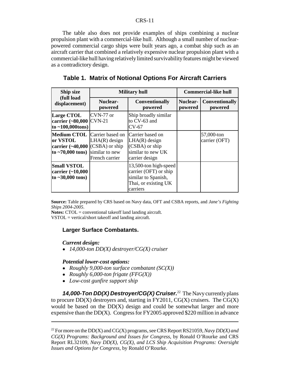The table also does not provide examples of ships combining a nuclear propulsion plant with a commercial-like hull. Although a small number of nuclearpowered commercial cargo ships were built years ago, a combat ship such as an aircraft carrier that combined a relatively expensive nuclear propulsion plant with a commercial-like hull having relatively limited survivability features might be viewed as a contradictory design.

| Ship size<br>(full load<br>displacement)                                                                                         | <b>Military hull</b>              |                                                                                                           | <b>Commercial-like hull</b> |                                  |
|----------------------------------------------------------------------------------------------------------------------------------|-----------------------------------|-----------------------------------------------------------------------------------------------------------|-----------------------------|----------------------------------|
|                                                                                                                                  | Nuclear-<br>powered               | <b>Conventionally</b><br>powered                                                                          | Nuclear-<br>powered         | <b>Conventionally</b><br>powered |
| Large CTOL<br>carrier (~80,000 CVN-21<br>to $~100,000$ tons)                                                                     | CVN-77 or                         | Ship broadly similar<br>to CV-63 and<br>CV-67                                                             |                             |                                  |
| <b>Medium CTOL</b> Carrier based on<br>or VSTOL<br>carrier $(\sim40,000$ (CSBA) or ship<br>to $\sim$ 70,000 tons) similar to new | $LHA(R)$ design<br>French carrier | Carrier based on<br>$LHA(R)$ design<br>(CSBA) or ship<br>similar to new UK<br>carrier design              |                             | 57,000-ton<br>carrier (OFT)      |
| <b>Small VSTOL</b><br>carrier (~10,000<br>to $~50,000$ tons)                                                                     |                                   | 13,500-ton high-speed<br>carrier (OFT) or ship<br>similar to Spanish,<br>Thai, or existing UK<br>carriers |                             |                                  |

**Table 1. Matrix of Notional Options For Aircraft Carriers**

**Source:** Table prepared by CRS based on Navy data, OFT and CSBA reports, and *Jane's Fighting Ships 2004-2005*.

**Notes:** CTOL = conventional takeoff land landing aircraft.  $VSTOL = vertical/short$  takeoff and landing aircraft.

#### **Larger Surface Combatants.**

#### *Current design:*

! *14,000-ton DD(X) destroyer/CG(X) cruiser*

#### *Potential lower-cost options:*

- ! *Roughly 9,000-ton surface combatant (SC(X))*
- ! *Roughly 6,000-ton frigate (FFG(X))*
- ! *Low-cost gunfire support ship*

*14,000-Ton DD(X) Destroyer/CG(X) Cruiser.*22 The Navy currently plans to procure  $DD(X)$  destroyers and, starting in FY2011,  $CG(X)$  cruisers. The  $CG(X)$ would be based on the DD(X) design and could be somewhat larger and more expensive than the  $DD(X)$ . Congress for FY2005 approved \$220 million in advance

<sup>&</sup>lt;sup>22</sup> For more on the DD(X) and CG(X) programs, see CRS Report RS21059, *Navy DD(X) and CG(X) Programs: Background and Issues for Congress*, by Ronald O'Rourke and CRS Report RL32109, *Navy DD(X), CG(X), and LCS Ship Acquisition Programs: Oversight Issues and Options for Congress*, by Ronald O'Rourke.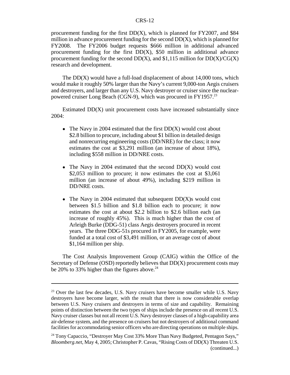procurement funding for the first  $DD(X)$ , which is planned for FY2007, and \$84 million in advance procurement funding for the second  $DD(X)$ , which is planned for FY2008. The FY2006 budget requests \$666 million in additional advanced procurement funding for the first  $DD(X)$ , \$50 million in additional advance procurement funding for the second  $DD(X)$ , and \$1,115 million for  $DD(X)/CG(X)$ research and development.

The  $DD(X)$  would have a full-load displacement of about 14,000 tons, which would make it roughly 50% larger than the Navy's current 9,000-ton Aegis cruisers and destroyers, and larger than any U.S. Navy destroyer or cruiser since the nuclearpowered cruiser Long Beach (CGN-9), which was procured in FY1957.<sup>23</sup>

Estimated DD(X) unit procurement costs have increased substantially since 2004:

- The Navy in 2004 estimated that the first  $DD(X)$  would cost about \$2.8 billion to procure, including about \$1 billion in detailed design and nonrecurring engineering costs (DD/NRE) for the class; it now estimates the cost at \$3,291 million (an increase of about 18%), including \$558 million in DD/NRE costs.
- The Navy in 2004 estimated that the second  $DD(X)$  would cost \$2,053 million to procure; it now estimates the cost at \$3,061 million (an increase of about 49%), including \$219 million in DD/NRE costs.
- The Navy in 2004 estimated that subsequent  $DD(X)$ s would cost between \$1.5 billion and \$1.8 billion each to procure; it now estimates the cost at about \$2.2 billion to \$2.6 billion each (an increase of roughly 45%). This is much higher than the cost of Arleigh Burke (DDG-51) class Aegis destroyers procured in recent years. The three DDG-51s procured in FY2005, for example, were funded at a total cost of \$3,491 million, or an average cost of about \$1,164 million per ship.

The Cost Analysis Improvement Group (CAIG) within the Office of the Secretary of Defense (OSD) reportedly believes that DD(X) procurement costs may be 20% to 33% higher than the figures above. $24$ 

 $23$  Over the last few decades, U.S. Navy cruisers have become smaller while U.S. Navy destroyers have become larger, with the result that there is now considerable overlap between U.S. Navy cruisers and destroyers in terms of size and capability. Remaining points of distinction between the two types of ships include the presence on all recent U.S. Navy cruiser classes but not all recent U.S. Navy destroyer classes of a high-capability area air-defense system, and the presence on cruisers but not destroyers of additional command facilities for accommodating senior officers who are directing operations on multiple ships.

<sup>&</sup>lt;sup>24</sup> Tony Capaccio, "Destroyer May Cost 33% More Than Navy Budgeted, Pentagon Says," *Bloomberg.net*, May 4, 2005; Christopher P. Cavas, "Rising Costs of DD(X) Threaten U.S. (continued...)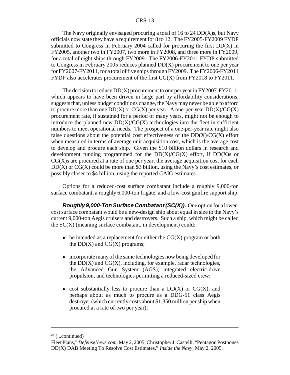The Navy originally envisaged procuring a total of 16 to 24 DD(X)s, but Navy officials now state they have a requirement for 8 to 12. The FY2005-FY2009 FYDP submitted to Congress in February 2004 called for procuring the first  $DD(X)$  in FY2005, another two in FY2007, two more in FY2008, and three more in FY2009, for a total of eight ships through FY2009. The FY2006-FY2011 FYDP submitted to Congress in February 2005 reduces planned DD(X) procurement to one per year for FY2007-FY2011, for a total of five ships through FY2009. The FY2006-FY2011 FYDP also accelerates procurement of the first CG(X) from FY2018 to FY2011.

The decision to reduce DD(X) procurement to one per year in FY2007-FY2011, which appears to have been driven in large part by affordability considerations, suggests that, unless budget conditions change, the Navy may never be able to afford to procure more than one  $DD(X)$  or  $CG(X)$  per year. A one-per-year  $DD(X)/CG(X)$ procurement rate, if sustained for a period of many years, might not be enough to introduce the planned new  $DD(X)/CG(X)$  technologies into the fleet in sufficient numbers to meet operational needs. The prospect of a one-per-year rate might also raise questions about the potential cost effectiveness of the  $DD(X)/CG(X)$  effort when measured in terms of average unit acquisition cost, which is the average cost to develop and procure each ship. Given the \$10 billion dollars in research and development funding programmed for the  $DD(X)/CG(X)$  effort, if  $DD(X)$ s or  $CG(X)$ s are procured at a rate of one per year, the average acquisition cost for each  $DD(X)$  or  $CG(X)$  could be more than \$3 billion, using the Navy's cost estimates, or possibly closer to \$4 billion, using the reported CAIG estimates.

Options for a reduced-cost surface combatant include a roughly 9,000-ton surface combatant, a roughly 6,000-ton frigate, and a low-cost gunfire support ship.

*Roughly 9,000-Ton Surface Combatant (SC(X)).* One option for a lowercost surface combatant would be a new-design ship about equal in size to the Navy's current 9,000-ton Aegis cruisers and destroyers. Such a ship, which might be called the SC(X) (meaning surface combatant, in development) could:

- $\bullet$  be intended as a replacement for either the CG(X) program or both the  $DD(X)$  and  $CG(X)$  programs;
- incorporate many of the same technologies now being developed for the  $DD(X)$  and  $CG(X)$ , including, for example, radar technologies, the Advanced Gun System (AGS), integrated electric-drive propulsion, and technologies permitting a reduced-sized crew;
- cost substantially less to procure than a  $DD(X)$  or  $CG(X)$ , and perhaps about as much to procure as a DDG-51 class Aegis destroyer (which currently costs about \$1,350 million per ship when procured at a rate of two per year);

 $24$  (...continued)

Fleet Plans," *DefenseNews.com*, May 2, 2005; Christopher J. Castelli, "Pentagon Postpones DD(X) DAB Meeting To Resolve Cost Estimates," *Inside the Navy*, May 2, 2005.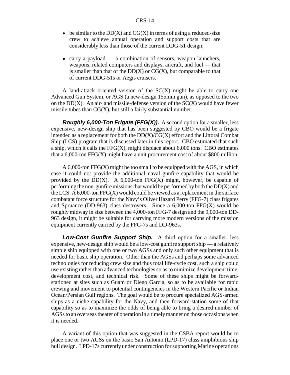- $\bullet$  be similar to the DD(X) and CG(X) in terms of using a reduced-size crew to achieve annual operation and support costs that are considerably less than those of the current DDG-51 design;
- $\bullet$  carry a payload a combination of sensors, weapon launchers, weapons, related computers and displays, aircraft, and fuel — that is smaller than that of the  $DD(X)$  or  $CG(X)$ , but comparable to that of current DDG-51s or Aegis cruisers.

A land-attack oriented version of the  $SC(X)$  might be able to carry one Advanced Gun System, or AGS (a new-design 155mm gun), as opposed to the two on the  $DD(X)$ . An air- and missile-defense version of the  $SC(X)$  would have fewer missile tubes than  $CG(X)$ , but still a fairly substantial number.

*Roughly 6,000-Ton Frigate (FFG(X)).* A second option for a smaller, less expensive, new-design ship that has been suggested by CBO would be a frigate intended as a replacement for both the DD(X)/CG(X) effort and the Littoral Combat Ship (LCS) program that is discussed later in this report. CBO estimated that such a ship, which it calls the  $FFG(X)$ , might displace about 6,000 tons. CBO estimates that a  $6,000$ -ton FFG(X) might have a unit procurement cost of about \$800 million.

A  $6,000$ -ton FFG $(X)$  might be too small to be equipped with the AGS, in which case it could not provide the additional naval gunfire capability that would be provided by the  $DD(X)$ . A 6,000-ton FFG(X) might, however, be capable of performing the non-gunfire missions that would be performed by both the  $DD(X)$  and the LCS. A  $6,000$ -ton FFG(X) would could be viewed as a replacement in the surface combatant force structure for the Navy's Oliver Hazard Perry (FFG-7) class frigates and Spruance (DD-963) class destroyers. Since a  $6,000$ -ton FFG(X) would be roughly midway in size between the 4,000-ton FFG-7 design and the 9,000-ton DD-963 design, it might be suitable for carrying more modern versions of the mission equipment currently carried by the FFG-7s and DD-963s.

*Low-Cost Gunfire Support Ship.* A third option for a smaller, less expensive, new-design ship would be a low-cost gunfire support ship — a relatively simple ship equipped with one or two AGSs and only such other equipment that is needed for basic ship operation. Other than the AGSs and perhaps some advanced technologies for reducing crew size and thus total life-cycle cost, such a ship could use existing rather than advanced technologies so as to minimize development time, development cost, and technical risk. Some of these ships might be forwardstationed at sites such as Guam or Diego Garcia, so as to be available for rapid crewing and movement to potential contingencies in the Western Pacific or Indian Ocean/Persian Gulf regions. The goal would be to procure specialized AGS-armed ships as a niche capability for the Navy, and then forward-station some of that capability so as to maximize the odds of being able to bring a desired number of AGSs to an overseas theater of operation in a timely manner on those occasions when it is needed.

A variant of this option that was suggested in the CSBA report would be to place one or two AGSs on the basic San Antonio (LPD-17) class amphibious ship hull design. LPD-17s currently under construction for supporting Marine operations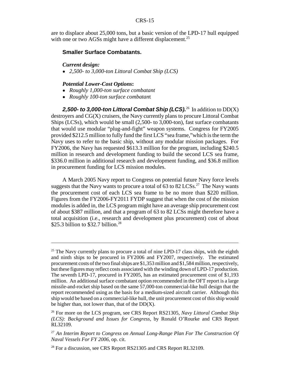are to displace about 25,000 tons, but a basic version of the LPD-17 hull equipped with one or two AGSs might have a different displacement.<sup>25</sup>

#### **Smaller Surface Combatants.**

#### *Current design:*

! *2,500- to 3,000-ton Littoral Combat Ship (LCS)*

#### *Potential Lower-Cost Options***:**

- ! *Roughly 1,000-ton surface combatant*
- ! *Roughly 100-ton surface combatan*t

**2,500- to 3,000-ton Littoral Combat Ship (LCS).**<sup>26</sup> In addition to  $DD(X)$ destroyers and CG(X) cruisers, the Navy currently plans to procure Littoral Combat Ships (LCSs), which would be small (2,500- to 3,000-ton), fast surface combatants that would use modular "plug-and-fight" weapon systems. Congress for FY2005 provided \$212.5 million to fully fund the first LCS "sea frame,"which is the term the Navy uses to refer to the basic ship, without any modular mission packages. For FY2006, the Navy has requested \$613.3 million for the program, including \$240.5 million in research and development funding to build the second LCS sea frame, \$336.0 million in additional research and development funding, and \$36.8 million in procurement funding for LCS mission modules.

A March 2005 Navy report to Congress on potential future Navy force levels suggests that the Navy wants to procure a total of  $63$  to  $82$  LCSs.<sup>27</sup> The Navy wants the procurement cost of each LCS sea frame to be no more than \$220 million. Figures from the FY2006-FY2011 FYDP suggest that when the cost of the mission modules is added in, the LCS program might have an average ship procurement cost of about \$387 million, and that a program of 63 to 82 LCSs might therefore have a total acquisition (i.e., research and development plus procurement) cost of about \$25.3 billion to \$32.7 billion.<sup>28</sup>

 $25$  The Navy currently plans to procure a total of nine LPD-17 class ships, with the eighth and ninth ships to be procured in FY2006 and FY2007, respectively. The estimated procurement costs of the two final ships are \$1,353 million and \$1,584 million, respectively, but these figures may reflect costs associated with the winding down of LPD-17 production. The seventh LPD-17, procured in FY2005, has an estimated procurement cost of \$1,193 million. An additional surface combatant option recommended in the OFT report is a large missile-and-rocket ship based on the same 57,000-ton commercial-like hull design that the report recommended using as the basis for a medium-sized aircraft carrier. Although this ship would be based on a commercial-like hull, the unit procurement cost of this ship would be higher than, not lower than, that of the  $DD(X)$ .

<sup>26</sup> For more on the LCS program, see CRS Report RS21305, *Navy Littoral Combat Ship (LCS): Background and Issues for Congress*, by Ronald O'Rourke and CRS Report RL32109.

<sup>27</sup> *An Interim Report to Congress on Annual Long-Range Plan For The Construction Of Naval Vessels For FY 2006*, op. cit.

 $^{28}$  For a discussion, see CRS Report RS21305 and CRS Report RL32109.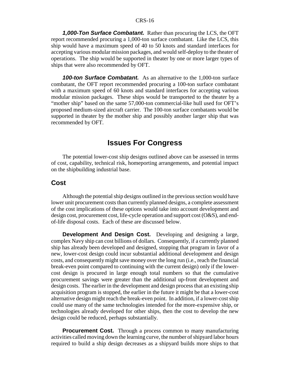*1,000-Ton Surface Combatant.* Rather than procuring the LCS, the OFT report recommended procuring a 1,000-ton surface combatant. Like the LCS, this ship would have a maximum speed of 40 to 50 knots and standard interfaces for accepting various modular mission packages, and would self-deploy to the theater of operations. The ship would be supported in theater by one or more larger types of ships that were also recommended by OFT.

*100-ton Surface Combatant.* As an alternative to the 1,000-ton surface combatant, the OFT report recommended procuring a 100-ton surface combatant with a maximum speed of 60 knots and standard interfaces for accepting various modular mission packages. These ships would be transported to the theater by a "mother ship" based on the same 57,000-ton commercial-like hull used for OFT's proposed medium-sized aircraft carrier. The 100-ton surface combatants would be supported in theater by the mother ship and possibly another larger ship that was recommended by OFT.

## **Issues For Congress**

The potential lower-cost ship designs outlined above can be assessed in terms of cost, capability, technical risk, homeporting arrangements, and potential impact on the shipbuilding industrial base.

#### **Cost**

Although the potential ship designs outlined in the previous section would have lower unit procurement costs than currently planned designs, a complete assessment of the cost implications of these options would take into account development and design cost, procurement cost, life-cycle operation and support cost (O&S), and endof-life disposal costs. Each of these are discussed below.

**Development And Design Cost.** Developing and designing a large, complex Navy ship can cost billions of dollars. Consequently, if a currently planned ship has already been developed and designed, stopping that program in favor of a new, lower-cost design could incur substantial additional development and design costs, and consequently might save money over the long run (i.e., reach the financial break-even point compared to continuing with the current design) only if the lowercost design is procured in large enough total numbers so that the cumulative procurement savings were greater than the additional up-front development and design costs. The earlier in the development and design process that an existing ship acquisition program is stopped, the earlier in the future it might be that a lower-cost alternative design might reach the break-even point. In addition, if a lower-cost ship could use many of the same technologies intended for the more-expensive ship, or technologies already developed for other ships, then the cost to develop the new design could be reduced, perhaps substantially.

**Procurement Cost.** Through a process common to many manufacturing activities called moving down the learning curve, the number of shipyard labor hours required to build a ship design decreases as a shipyard builds more ships to that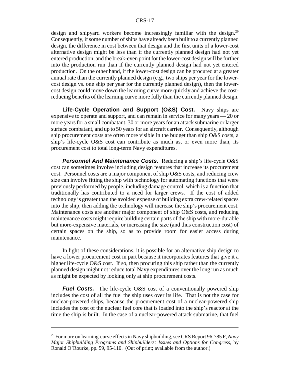design and shipyard workers become increasingly familiar with the design.<sup>29</sup> Consequently, if some number of ships have already been built to a currently planned design, the difference in cost between that design and the first units of a lower-cost alternative design might be less than if the currently planned design had not yet entered production, and the break-even point for the lower-cost design will be further into the production run than if the currently planned design had not yet entered production. On the other hand, if the lower-cost design can be procured at a greater annual rate than the currently planned design (e.g., two ships per year for the lowercost design vs. one ship per year for the currently planned design), then the lowercost design could move down the learning curve more quickly and achieve the costreducing benefits of the learning curve more fully than the currently planned design.

**Life-Cycle Operation and Support (O&S) Cost.** Navy ships are expensive to operate and support, and can remain in service for many years — 20 or more years for a small combatant, 30 or more years for an attack submarine or larger surface combatant, and up to 50 years for an aircraft carrier. Consequently, although ship procurement costs are often more visible in the budget than ship O&S costs, a ship's life-cycle O&S cost can contribute as much as, or even more than, its procurement cost to total long-term Navy expenditures.

**Personnel And Maintenance Costs.** Reducing a ship's life-cycle O&S cost can sometimes involve including design features that increase its procurement cost. Personnel costs are a major component of ship O&S costs, and reducing crew size can involve fitting the ship with technology for automating functions that were previously performed by people, including damage control, which is a function that traditionally has contributed to a need for larger crews. If the cost of added technology is greater than the avoided expense of building extra crew-related spaces into the ship, then adding the technology will increase the ship's procurement cost. Maintenance costs are another major component of ship O&S costs, and reducing maintenance costs might require building certain parts of the ship with more-durable but more-expensive materials, or increasing the size (and thus construction cost) of certain spaces on the ship, so as to provide room for easier access during maintenance.

In light of these considerations, it is possible for an alternative ship design to have a lower procurement cost in part because it incorporates features that give it a higher life-cycle O&S cost. If so, then procuring this ship rather than the currently planned design might not reduce total Navy expenditures over the long run as much as might be expected by looking only at ship procurement costs.

*Fuel Costs.* The life-cycle O&S cost of a conventionally powered ship includes the cost of all the fuel the ship uses over its life. That is not the case for nuclear-powered ships, because the procurement cost of a nuclear-powered ship includes the cost of the nuclear fuel core that is loaded into the ship's reactor at the time the ship is built. In the case of a nuclear-powered attack submarine, that fuel

<sup>29</sup> For more on learning-curve effects in Navy shipbuilding, see CRS Report 96-785 F, *Navy Major Shipbuilding Programs and Shipbuilders: Issues and Options for Congress*, by Ronald O'Rourke, pp. 59, 95-110. (Out of print; available from the author.)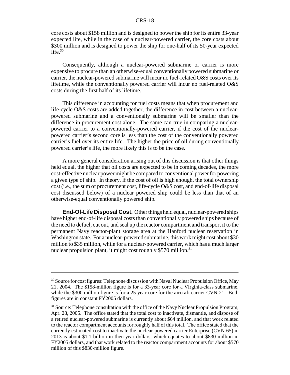core costs about \$158 million and is designed to power the ship for its entire 33-year expected life, while in the case of a nuclear-powered carrier, the core costs about \$300 million and is designed to power the ship for one-half of its 50-year expected life. $30$ 

Consequently, although a nuclear-powered submarine or carrier is more expensive to procure than an otherwise-equal conventionally powered submarine or carrier, the nuclear-powered submarine will incur no fuel-related O&S costs over its lifetime, while the conventionally powered carrier will incur no fuel-related O&S costs during the first half of its lifetime.

This difference in accounting for fuel costs means that when procurement and life-cycle O&S costs are added together, the difference in cost between a nuclearpowered submarine and a conventionally submarine will be smaller than the difference in procurement cost alone. The same can true in comparing a nuclearpowered carrier to a conventionally-powered carrier, if the cost of the nuclearpowered carrier's second core is less than the cost of the conventionally powered carrier's fuel over its entire life. The higher the price of oil during conventionally powered carrier's life, the more likely this is to be the case.

A more general consideration arising out of this discussion is that other things held equal, the higher that oil costs are expected to be in coming decades, the more cost-effective nuclear power might be compared to conventional power for powering a given type of ship. In theory, if the cost of oil is high enough, the total ownership cost (i.e., the sum of procurement cost, life-cycle O&S cost, and end-of-life disposal cost discussed below) of a nuclear powered ship could be less than that of an otherwise-equal conventionally powered ship.

**End-Of-Life Disposal Cost.** Other things held equal, nuclear-powered ships have higher end-of-life disposal costs than conventionally powered ships because of the need to defuel, cut out, and seal up the reactor compartment and transport it to the permanent Navy reactor-plant storage area at the Hanford nuclear reservation in Washington state. For a nuclear-powered submarine, this work might cost about \$30 million to \$35 million, while for a nuclear-powered carrier, which has a much larger nuclear propulsion plant, it might cost roughly  $$570$  million.<sup>31</sup>

 $30$  Source for cost figures: Telephone discussion with Naval Nuclear Propulsion Office, May 21, 2004. The \$158-million figure is for a 33-year core for a Virginia-class submarine, while the \$300 million figure is for a 25-year core for the aircraft carrier CVN-21. Both figures are in constant FY2005 dollars.

<sup>&</sup>lt;sup>31</sup> Source: Telephone consultation with the office of the Navy Nuclear Propulsion Program, Apr. 28, 2005. The office stated that the total cost to inactivate, dismantle, and dispose of a retired nuclear-powered submarine is currently about \$64 million, and that work related to the reactor compartment accounts for roughly half of this total. The office stated that the currently estimated cost to inactivate the nuclear-powered carrier Enterprise (CVN-65) in 2013 is about \$1.1 billion in then-year dollars, which equates to about \$830 million in FY2005 dollars, and that work related to the reactor compartment accounts for about \$570 million of this \$830-million figure.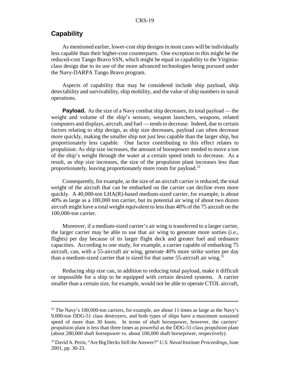### **Capability**

As mentioned earlier, lower-cost ship designs in most cases will be individually less capable than their higher-cost counterparts. One exception to this might be the reduced-cost Tango Bravo SSN, which might be equal in capability to the Virginiaclass design due to its use of the more advanced technologies being pursued under the Navy-DARPA Tango Bravo program.

Aspects of capability that may be considered include ship payload, ship detectability and survivability, ship mobility, and the value of ship numbers in naval operations.

**Payload.** As the size of a Navy combat ship decreases, its total payload — the weight and volume of the ship's sensors, weapon launchers, weapons, related computers and displays, aircraft, and fuel — tends to decrease. Indeed, due to certain factors relating to ship design, as ship size decreases, payload can often decrease more quickly, making the smaller ship not just less capable than the larger ship, but proportionately less capable. One factor contributing to this effect relates to propulsion: As ship size increases, the amount of horsepower needed to move a ton of the ship's weight through the water at a certain speed tends to decrease. As a result, as ship size increases, the size of the propulsion plant increases less than proportionately, leaving proportionately more room for payload.<sup>32</sup>

Consequently, for example, as the size of an aircraft carrier is reduced, the total weight of the aircraft that can be embarked on the carrier can decline even more quickly. A 40,000-ton LHA(R)-based medium-sized carrier, for example, is about 40% as large as a 100,000 ton carrier, but its potential air wing of about two dozen aircraft might have a total weight equivalent to less than 40% of the 75 aircraft on the 100,000-ton carrier.

Moreover, if a medium-sized carrier's air wing is transferred to a larger carrier, the larger carrier may be able to use that air wing to generate more sorties (i.e., flights) per day because of its larger flight deck and greater fuel and ordnance capacities. According to one study, for example, a carrier capable of embarking 75 aircraft, can, with a 55-aircraft air wing, generate 40% more strike sorties per day than a medium-sized carrier that is sized for that same 55-aircraft air wing.<sup>33</sup>

Reducing ship size can, in addition to reducing total payload, make it difficult or impossible for a ship to be equipped with certain desired systems. A carrier smaller than a certain size, for example, would not be able to operate CTOL aircraft,

 $32$  The Navy's 100,000-ton carriers, for example, are about 11 times as large as the Navy's 9,000-ton DDG-51 class destroyers, and both types of ships have a maximum sustained speed of more than 30 knots. In terms of shaft horsepower, however, the carriers' propulsion plant is less than three times as powerful as the DDG-51-class propulsion plant (about 280,000 shaft horsepower vs. about 100,000 shaft horsepower, respectively).

<sup>33</sup> David A. Perin, "Are Big Decks Still the Answer?" *U.S. Naval Institute Proceedings*, June 2001, pp. 30-33.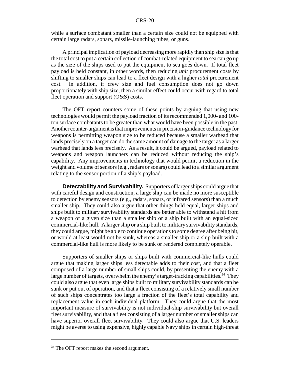while a surface combatant smaller than a certain size could not be equipped with certain large radars, sonars, missile-launching tubes, or guns.

A principal implication of payload decreasing more rapidly than ship size is that the total cost to put a certain collection of combat-related equipment to sea can go up as the size of the ships used to put the equipment to sea goes down. If total fleet payload is held constant, in other words, then reducing *unit* procurement costs by shifting to smaller ships can lead to a fleet design with a higher *total* procurement cost. In addition, if crew size and fuel consumption does not go down proportionately with ship size, then a similar effect could occur with regard to total fleet operation and support (O&S) costs.

The OFT report counters some of these points by arguing that using new technologies would permit the payload fraction of its recommended 1,000- and 100 ton surface combatants to be greater than what would have been possible in the past. Another counter-argument is that improvements in precision-guidance technology for weapons is permitting weapon size to be reduced because a smaller warhead that lands precisely on a target can do the same amount of damage to the target as a larger warhead that lands less precisely. As a result, it could be argued, payload related to weapons and weapon launchers can be reduced without reducing the ship's capability. Any improvements in technology that would permit a reduction in the weight and volume of sensors (e.g., radars or sonars) could lead to a similar argument relating to the sensor portion of a ship's payload.

**Detectability and Survivability.** Supporters of larger ships could argue that with careful design and construction, a large ship can be made no more susceptible to detection by enemy sensors (e.g., radars, sonars, or infrared sensors) than a much smaller ship. They could also argue that other things held equal, larger ships and ships built to military survivability standards are better able to withstand a hit from a weapon of a given size than a smaller ship or a ship built with an equal-sized commercial-like hull. A larger ship or a ship built to military survivability standards, they could argue, might be able to continue operations to some degree after being hit, or would at least would not be sunk, whereas a smaller ship or a ship built with a commercial-like hull is more likely to be sunk or rendered completely operable.

Supporters of smaller ships or ships built with commercial-like hulls could argue that making larger ships less detectable adds to their cost, and that a fleet composed of a large number of small ships could, by presenting the enemy with a large number of targets, overwhelm the enemy's target-tracking capabilities.<sup>34</sup> They could also argue that even large ships built to military survivability standards can be sunk or put out of operation, and that a fleet consisting of a relatively small number of such ships concentrates too large a fraction of the fleet's total capability and replacement value in each individual platform. They could argue that the most important measure of survivability is not individual-ship survivability but overall fleet survivability, and that a fleet consisting of a larger number of smaller ships can have superior overall fleet survivability. They could also argue that U.S. leaders might be averse to using expensive, highly capable Navy ships in certain high-threat

<sup>&</sup>lt;sup>34</sup> The OFT report makes the second argument.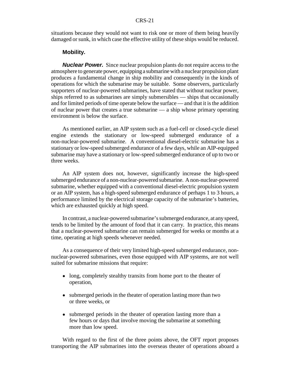situations because they would not want to risk one or more of them being heavily damaged or sunk, in which case the effective utility of these ships would be reduced.

#### **Mobility.**

*Nuclear Power.* Since nuclear propulsion plants do not require access to the atmosphere to generate power, equipping a submarine with a nuclear propulsion plant produces a fundamental change in ship mobility and consequently in the kinds of operations for which the submarine may be suitable. Some observers, particularly supporters of nuclear-powered submarines, have stated that without nuclear power, ships referred to as submarines are simply submersibles — ships that occasionally and for limited periods of time operate below the surface — and that it is the addition of nuclear power that creates a true submarine — a ship whose primary operating environment is below the surface.

As mentioned earlier, an AIP system such as a fuel-cell or closed-cycle diesel engine extends the stationary or low-speed submerged endurance of a non-nuclear-powered submarine. A conventional diesel-electric submarine has a stationary or low-speed submerged endurance of a few days, while an AIP-equipped submarine may have a stationary or low-speed submerged endurance of up to two or three weeks.

An AIP system does not, however, significantly increase the high-speed submerged endurance of a non-nuclear-powered submarine. A non-nuclear-powered submarine, whether equipped with a conventional diesel-electric propulsion system or an AIP system, has a high-speed submerged endurance of perhaps 1 to 3 hours, a performance limited by the electrical storage capacity of the submarine's batteries, which are exhausted quickly at high speed.

In contrast, a nuclear-powered submarine's submerged endurance, at any speed, tends to be limited by the amount of food that it can carry. In practice, this means that a nuclear-powered submarine can remain submerged for weeks or months at a time, operating at high speeds whenever needed.

As a consequence of their very limited high-speed submerged endurance, nonnuclear-powered submarines, even those equipped with AIP systems, are not well suited for submarine missions that require:

- long, completely stealthy transits from home port to the theater of operation,
- ! submerged periods in the theater of operation lasting more than two or three weeks, or
- submerged periods in the theater of operation lasting more than a few hours or days that involve moving the submarine at something more than low speed.

With regard to the first of the three points above, the OFT report proposes transporting the AIP submarines into the overseas theater of operations aboard a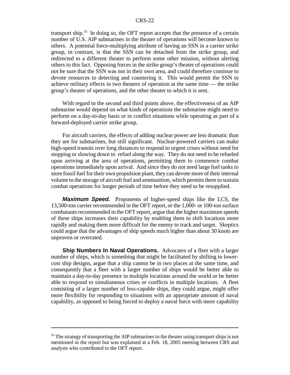transport ship. $35$  In doing so, the OFT report accepts that the presence of a certain number of U.S. AIP submarines in the theater of operations will become known to others. A potential force-multiplying attribute of having an SSN in a carrier strike group, in contrast, is that the SSN can be detached from the strike group, and redirected to a different theater to perform some other mission, without alerting others to this fact. Opposing forces in the strike group's theater of operations could not be sure that the SSN was not in their own area, and could therefore continue to devote resources to detecting and countering it. This would permit the SSN to achieve military effects in two theaters of operation at the same time — the strike group's theater of operations, and the other theater to which it is sent.

With regard to the second and third points above, the effectiveness of an AIP submarine would depend on what kinds of operations the submarine might need to perform on a day-to-day basis or in conflict situations while operating as part of a forward-deployed carrier strike group.

For aircraft carriers, the effects of adding nuclear power are less dramatic than they are for submarines, but still significant. Nuclear-powered carriers can make high-speed transits over long distances to respond to urgent crises without need for stopping or slowing down to refuel along the way. They do not need to be refueled upon arriving at the area of operations, permitting them to commence combat operations immediately upon arrival. And since they do not need large fuel tanks to store fossil fuel for their own propulsion plant, they can devote more of their internal volume to the storage of aircraft fuel and ammunition, which permits them to sustain combat operations for longer periods of time before they need to be resupplied.

*Maximum Speed.* Proponents of higher-speed ships like the LCS, the 13,500-ton carrier recommended in the OFT report, or the 1,000- or 100-ton surface combatants recommended in the OFT report, argue that the higher maximum speeds of these ships increases their capability by enabling them to shift locations more rapidly and making them more difficult for the enemy to track and target. Skeptics could argue that the advantages of ship speeds much higher than about 30 knots are unproven or overrated.

**Ship Numbers In Naval Operations.** Advocates of a fleet with a larger number of ships, which is something that might be facilitated by shifting to lowercost ship designs, argue that a ship cannot be in two places at the same time, and consequently that a fleet with a larger number of ships would be better able to maintain a day-to-day presence in multiple locations around the world or be better able to respond to simultaneous crises or conflicts in multiple locations. A fleet consisting of a larger number of less-capable ships, they could argue, might offer more flexibility for responding to situations with an appropriate amount of naval capability, as opposed to being forced to deploy a naval force with more capability

<sup>&</sup>lt;sup>35</sup> The strategy of transporting the AIP submarines to the theater using transport ships is not mentioned in the report but was explained at a Feb. 18, 2005 meeting between CRS and analysts who contributed to the OFT report.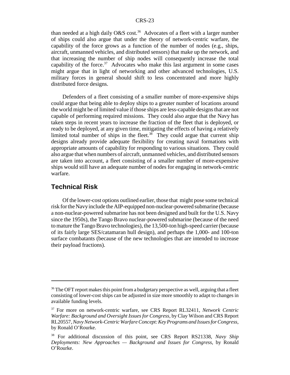than needed at a high daily O&S cost.<sup>36</sup> Advocates of a fleet with a larger number of ships could also argue that under the theory of network-centric warfare, the capability of the force grows as a function of the number of nodes (e.g., ships, aircraft, unmanned vehicles, and distributed sensors) that make up the network, and that increasing the number of ship nodes will consequently increase the total capability of the force. $37$  Advocates who make this last argument in some cases might argue that in light of networking and other advanced technologies, U.S. military forces in general should shift to less concentrated and more highly distributed force designs.

Defenders of a fleet consisting of a smaller number of more-expensive ships could argue that being able to deploy ships to a greater number of locations around the world might be of limited value if those ships are less-capable designs that are not capable of performing required missions. They could also argue that the Navy has taken steps in recent years to increase the fraction of the fleet that is deployed, or ready to be deployed, at any given time, mitigating the effects of having a relatively limited total number of ships in the fleet. $38$  They could argue that current ship designs already provide adequate flexibility for creating naval formations with appropriate amounts of capability for responding to various situations. They could also argue that when numbers of aircraft, unmanned vehicles, and distributed sensors are taken into account, a fleet consisting of a smaller number of more-expensive ships would still have an adequate number of nodes for engaging in network-centric warfare.

#### **Technical Risk**

Of the lower-cost options outlined earlier, those that might pose some technical risk for the Navy include the AIP-equipped non-nuclear-powered submarine (because a non-nuclear-powered submarine has not been designed and built for the U.S. Navy since the 1950s), the Tango Bravo nuclear-powered submarine (because of the need to mature the Tango Bravo technologies), the 13,500-ton high-speed carrier (because of its fairly large SES/catamaran hull design), and perhaps the 1,000- and 100-ton surface combatants (because of the new technologies that are intended to increase their payload fractions).

<sup>&</sup>lt;sup>36</sup> The OFT report makes this point from a budgetary perspective as well, arguing that a fleet consisting of lower-cost ships can be adjusted in size more smoothly to adapt to changes in available funding levels.

<sup>37</sup> For more on network-centric warfare, see CRS Report RL32411, *Network Centric Warfare: Background and Oversight Issues for Congress,* by Clay Wilson and CRS Report RL20557, *Navy Network-Centric Warfare Concept: Key Programs and Issues for Congress*, by Ronald O'Rourke.

<sup>38</sup> For additional discussion of this point, see CRS Report RS21338, *Navy Ship Deployments: New Approaches — Background and Issues for Congress*, by Ronald O'Rourke.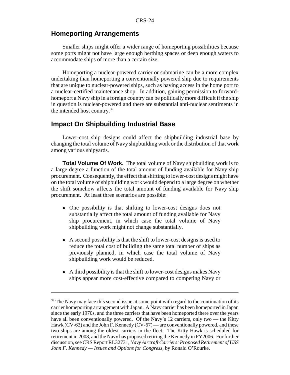#### **Homeporting Arrangements**

Smaller ships might offer a wider range of homeporting possibilities because some ports might not have large enough berthing spaces or deep enough waters to accommodate ships of more than a certain size.

Homeporting a nuclear-powered carrier or submarine can be a more complex undertaking than homeporting a conventionally powered ship due to requirements that are unique to nuclear-powered ships, such as having access in the home port to a nuclear-certified maintenance shop. In addition, gaining permission to forwardhomeport a Navy ship in a foreign country can be politically more difficult if the ship in question is nuclear-powered and there are substantial anti-nuclear sentiments in the intended host country.39

#### **Impact On Shipbuilding Industrial Base**

Lower-cost ship designs could affect the shipbuilding industrial base by changing the total volume of Navy shipbuilding work or the distribution of that work among various shipyards.

**Total Volume Of Work.** The total volume of Navy shipbuilding work is to a large degree a function of the total amount of funding available for Navy ship procurement. Consequently, the effect that shifting to lower-cost designs might have on the total volume of shipbuilding work would depend to a large degree on whether the shift somehow affects the total amount of funding available for Navy ship procurement. At least three scenarios are possible:

- One possibility is that shifting to lower-cost designs does not substantially affect the total amount of funding available for Navy ship procurement, in which case the total volume of Navy shipbuilding work might not change substantially.
- A second possibility is that the shift to lower-cost designs is used to reduce the total cost of building the same total number of ships as previously planned, in which case the total volume of Navy shipbuilding work would be reduced.
- A third possibility is that the shift to lower-cost designs makes Navy ships appear more cost-effective compared to competing Navy or

<sup>&</sup>lt;sup>39</sup> The Navy may face this second issue at some point with regard to the continuation of its carrier homeporting arrangement with Japan. A Navy carrier has been homeported in Japan since the early 1970s, and the three carriers that have been homeported there over the years have all been conventionally powered. Of the Navy's 12 carriers, only two — the Kitty Hawk (CV-63) and the John F. Kennedy (CV-67) — are conventionally powered, and these two ships are among the oldest carriers in the fleet. The Kitty Hawk is scheduled for retirement in 2008, and the Navy has proposed retiring the Kennedy in FY2006. For further discussion, see CRS Report RL32731, *Navy Aircraft Carriers: Proposed Retirement of USS John F. Kennedy — Issues and Options for Congress*, by Ronald O'Rourke.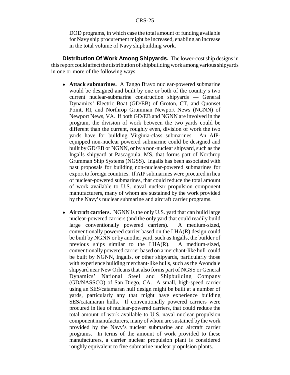DOD programs, in which case the total amount of funding available for Navy ship procurement might be increased, enabling an increase in the total volume of Navy shipbuilding work.

**Distribution Of Work Among Shipyards.** The lower-cost ship designs in this report could affect the distribution of shipbuilding work among various shipyards in one or more of the following ways:

- ! **Attack submarines.** A Tango Bravo nuclear-powered submarine would be designed and built by one or both of the country's two current nuclear-submarine construction shipyards — General Dynamics' Electric Boat (GD/EB) of Groton, CT, and Quonset Point, RI, and Northrop Grumman Newport News (NGNN) of Newport News, VA. If both GD/EB and NGNN are involved in the program, the division of work between the two yards could be different than the current, roughly even, division of work the two yards have for building Virginia-class submarines. An AIPequipped non-nuclear powered submarine could be designed and built by GD/EB or NGNN, or by a non-nuclear shipyard, such as the Ingalls shipyard at Pascagoula, MS, that forms part of Northrop Grumman Ship Systems (NGSS). Ingalls has been associated with past proposals for building non-nuclear-powered submarines for export to foreign countries. If AIP submarines were procured in lieu of nuclear-powered submarines, that could reduce the total amount of work available to U.S. naval nuclear propulsion component manufacturers, many of whom are sustained by the work provided by the Navy's nuclear submarine and aircraft carrier programs.
- **Aircraft carriers.** NGNN is the only U.S. yard that can build large nuclear-powered carriers (and the only yard that could readily build large conventionally powered carriers). A medium-sized, conventionally powered carrier based on the LHA(R) design could be built by NGNN or by another yard, such as Ingalls, the builder of previous ships similar to the LHA(R). A medium-sized, conventionally powered carrier based on a merchant-like hull could be built by NGNN, Ingalls, or other shipyards, particularly those with experience building merchant-like hulls, such as the Avondale shipyard near New Orleans that also forms part of NGSS or General Dynamics' National Steel and Shipbuilding Company (GD/NASSCO) of San Diego, CA. A small, high-speed carrier using an SES/catamaran hull design might be built at a number of yards, particularly any that might have experience building SES/catamaran hulls. If conventionally powered carriers were procured in lieu of nuclear-powered carriers, that could reduce the total amount of work available to U.S. naval nuclear propulsion component manufacturers, many of whom are sustained by the work provided by the Navy's nuclear submarine and aircraft carrier programs. In terms of the amount of work provided to these manufacturers, a carrier nuclear propulsion plant is considered roughly equivalent to five submarine nuclear propulsion plants.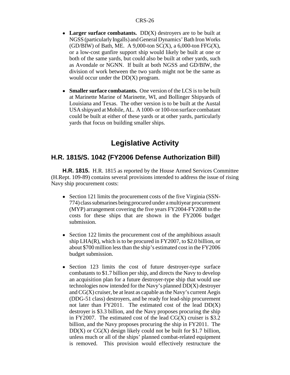- Larger surface combatants. DD(X) destroyers are to be built at NGSS (particularly Ingalls) and General Dynamics' Bath Iron Works  $(GD/BIW)$  of Bath, ME. A 9,000-ton  $SC(X)$ , a 6,000-ton  $FFG(X)$ , or a low-cost gunfire support ship would likely be built at one or both of the same yards, but could also be built at other yards, such as Avondale or NGNN. If built at both NGSS and GD/BIW, the division of work between the two yards might not be the same as would occur under the DD(X) program.
- **Smaller surface combatants.** One version of the LCS is to be built at Marinette Marine of Marinette, WI, and Bollinger Shipyards of Louisiana and Texas. The other version is to be built at the Austal USA shipyard at Mobile, AL. A 1000- or 100-ton surface combatant could be built at either of these yards or at other yards, particularly yards that focus on building smaller ships.

# **Legislative Activity**

### **H.R. 1815/S. 1042 (FY2006 Defense Authorization Bill)**

**H.R. 1815.** H.R. 1815 as reported by the House Armed Services Committee (H.Rept. 109-89) contains several provisions intended to address the issue of rising Navy ship procurement costs:

- Section 121 limits the procurement costs of the five Virginia (SSN-774) class submarines being procured under a multiyear procurement (MYP) arrangement covering the five years FY2004-FY2008 to the costs for these ships that are shown in the FY2006 budget submission.
- Section 122 limits the procurement cost of the amphibious assault ship LHA(R), which is to be procured in FY2007, to \$2.0 billion, or about \$700 million less than the ship's estimated cost in the FY2006 budget submission.
- Section 123 limits the cost of future destroyer-type surface combatants to \$1.7 billion per ship, and directs the Navy to develop an acquisition plan for a future destroyer-type ship that would use technologies now intended for the Navy's planned DD(X) destroyer and  $CG(X)$  cruiser, be at least as capable as the Navy's current Aegis (DDG-51 class) destroyers, and be ready for lead-ship procurement not later than FY2011. The estimated cost of the lead DD(X) destroyer is \$3.3 billion, and the Navy proposes procuring the ship in FY2007. The estimated cost of the lead  $CG(X)$  cruiser is \$3.2 billion, and the Navy proposes procuring the ship in FY2011. The  $DD(X)$  or  $CG(X)$  design likely could not be built for \$1.7 billion, unless much or all of the ships' planned combat-related equipment is removed. This provision would effectively restructure the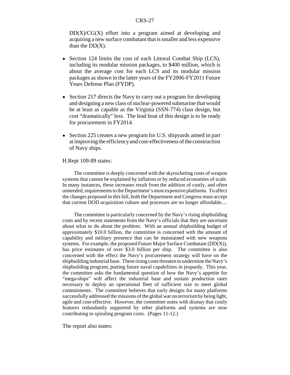$DD(X)/CG(X)$  effort into a program aimed at developing and acquiring a new surface combatant that is smaller and less expensive than the  $DD(X)$ .

- Section 124 limits the cost of each Littoral Combat Ship (LCS), including its modular mission packages, to \$400 million, which is about the average cost for each LCS and its modular mission packages as shown in the latter years of the FY2006-FY2011 Future Years Defense Plan (FYDP).
- Section 217 directs the Navy to carry out a program for developing and designing a new class of nuclear-powered submarine that would be at least as capable as the Virginia (SSN-774) class design, but cost "dramatically" less. The lead boat of this design is to be ready for procurement in FY2014.
- Section 225 creates a new program for U.S. shipyards aimed in part at improving the efficiency and cost-effectiveness of the construction of Navy ships.

#### H.Rept 109-89 states:

The committee is deeply concerned with the skyrocketing costs of weapon systems that cannot be explained by inflation or by reduced economies of scale. In many instances, these increases result from the addition of costly, and often unneeded, requirements to the Department's most expensive platforms. To affect the changes proposed in this bill, both the Department and Congress must accept that current DOD acquisition culture and processes are no longer affordable....

The committee is particularly concerned by the Navy's rising shipbuilding costs and by recent statements from the Navy's officials that they are uncertain about what to do about the problem. With an annual shipbuilding budget of approximately \$10.0 billion, the committee is concerned with the amount of capability and military presence that can be maintained with new weapons systems. For example, the proposed Future Major Surface Combatant (DD(X)), has price estimates of over \$3.0 billion per ship. The committee is also concerned with the effect the Navy's procurement strategy will have on the shipbuilding industrial base. These rising costs threaten to undermine the Navy's shipbuilding program, putting future naval capabilities in jeopardy. This year, the committee asks the fundamental question of how the Navy's appetite for "mega-ships" will affect the industrial base and sustain production rates necessary to deploy an operational fleet of sufficient size to meet global commitments. The committee believes that early designs for many platforms successfully addressed the missions of the global war on terrorism by being light, agile and cost-effective. However, the committee notes with dismay that costly features redundantly supported by other platforms and systems are now contributing to spiraling program costs. (Pages 11-12.)

The report also states: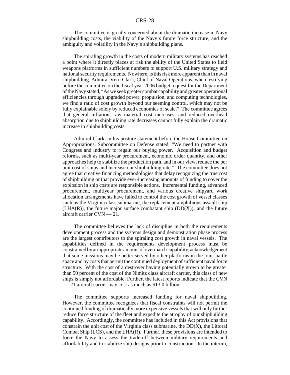The committee is greatly concerned about the dramatic increase in Navy shipbuilding costs, the viability of the Navy's future force structure, and the ambiguity and volatility in the Navy's shipbuilding plans.

The spiraling growth in the costs of modern military systems has reached a point where it directly places at risk the ability of the United States to field weapons platforms in sufficient numbers to support U.S. military strategy and national security requirements. Nowhere, is this risk more apparent than in naval shipbuilding. Admiral Vern Clark, Chief of Naval Operations, when testifying before the committee on the fiscal year 2006 budget request for the Department of the Navy stated, "As we seek greater combat capability and greater operational efficiencies through upgraded power, propulsion, and computing technologies, we find a ratio of cost growth beyond our seeming control, which may not be fully explainable solely by reduced economies of scale." The committee agrees that general inflation, raw material cost increases, and reduced overhead absorption due to shipbuilding rate decreases cannot fully explain the dramatic increase in shipbuilding costs.

Admiral Clark, in his posture statement before the House Committee on Appropriations, Subcommittee on Defense stated, "We need to partner with Congress and industry to regain our buying power. Acquisition and budget reforms, such as multi-year procurement, economic order quantity, and other approaches help to stabilize the production path, and in our view, reduce the per unit cost of ships and increase our shipbuilding rate." The committee does not agree that creative financing methodologies that delay recognizing the true cost of shipbuilding or that provide ever-increasing amounts of funding to cover the explosion in ship costs are responsible actions. Incremental funding, advanced procurement, multiyear procurement, and various creative shipyard work allocation arrangements have failed to control the cost growth of vessel classes such as the Virginia class submarine, the replacement amphibious assault ship  $(LHA(R))$ , the future major surface combatant ship  $(DD(X))$ , and the future aircraft carrier CVN — 21.

The committee believes the lack of discipline in both the requirements development process and the systems design and demonstration phase process are the largest contributors to the spiraling cost growth in naval vessels. The capabilities defined in the requirements development process must be constrained by an appropriate amount of overmatch capability, acknowledgement that some missions may be better served by other platforms in the joint battle space and by costs that permit the continued deployment of sufficient naval force structure. With the cost of a destroyer having potentially grown to be greater than 50 percent of the cost of the Nimitz class aircraft carrier, this class of new ships is simply not affordable. Further, the latest reports indicate that the CVN — 21 aircraft carrier may cost as much as \$13.0 billion.

The committee supports increased funding for naval shipbuilding. However, the committee recognizes that fiscal constraints will not permit the continued funding of dramatically more expensive vessels that will only further reduce force structure of the fleet and expedite the atrophy of our shipbuilding capability. Accordingly, the committee has included in this Act provisions that constrain the unit cost of the Virginia class submarine, the  $DD(X)$ , the Littoral Combat Ship (LCS), and the LHA(R). Further, these provisions are intended to force the Navy to assess the trade-off between military requirements and affordability and to stabilize ship designs prior to construction. In the interim,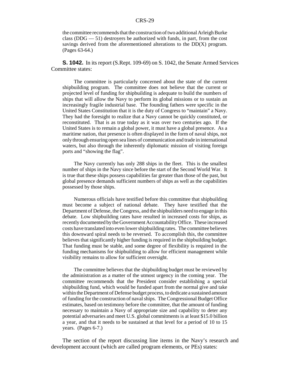the committee recommends that the construction of two additional Arleigh Burke class (DDG — 51) destroyers be authorized with funds, in part, from the cost savings derived from the aforementioned alterations to the DD(X) program. (Pages 63-64.)

**S. 1042.** In its report (S.Rept. 109-69) on S. 1042, the Senate Armed Services Committee states:

The committee is particularly concerned about the state of the current shipbuilding program. The committee does not believe that the current or projected level of funding for shipbuilding is adequate to build the numbers of ships that will allow the Navy to perform its global missions or to sustain an increasingly fragile industrial base. The founding fathers were specific in the United States Constitution that it is the duty of Congress to "maintain" a Navy. They had the foresight to realize that a Navy cannot be quickly constituted, or reconstituted. That is as true today as it was over two centuries ago. If the United States is to remain a global power, it must have a global presence. As a maritime nation, that presence is often displayed in the form of naval ships, not only through ensuring open sea lines of communication and trade in international waters, but also through the inherently diplomatic mission of visiting foreign ports and "showing the flag".

The Navy currently has only 288 ships in the fleet. This is the smallest number of ships in the Navy since before the start of the Second World War. It is true that these ships possess capabilities far greater than those of the past, but global presence demands sufficient numbers of ships as well as the capabilities possessed by those ships.

Numerous officials have testified before this committee that shipbuilding must become a subject of national debate. They have testified that the Department of Defense, the Congress, and the shipbuilders need to engage in this debate. Low shipbuilding rates have resulted in increased costs for ships, as recently documented by the Government Accountability Office. These increased costs have translated into even lower shipbuilding rates. The committee believes this downward spiral needs to be reversed. To accomplish this, the committee believes that significantly higher funding is required in the shipbuilding budget. That funding must be stable, and some degree of flexibility is required in the funding mechanisms for shipbuilding to allow for efficient management while visibility remains to allow for sufficient oversight.

The committee believes that the shipbuilding budget must be reviewed by the administration as a matter of the utmost urgency in the coming year. The committee recommends that the President consider establishing a special shipbuilding fund, which would be funded apart from the normal give and take within the Department of Defense budget process, to dedicate a sustained amount of funding for the construction of naval ships. The Congressional Budget Office estimates, based on testimony before the committee, that the amount of funding necessary to maintain a Navy of appropriate size and capability to deter any potential adversaries and meet U.S. global commitments is at least \$15.0 billion a year, and that it needs to be sustained at that level for a period of 10 to 15 years. (Pages 6-7.)

The section of the report discussing line items in the Navy's research and development account (which are called program elements, or PEs) states: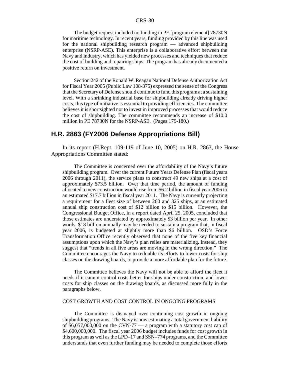The budget request included no funding in PE [program element] 78730N for maritime technology. In recent years, funding provided by this line was used for the national shipbuilding research program — advanced shipbuilding enterprise (NSRP-ASE). This enterprise is a collaborative effort between the Navy and industry, which has yielded new processes and techniques that reduce the cost of building and repairing ships. The program has already documented a positive return on investment.

Section 242 of the Ronald W. Reagan National Defense Authorization Act for Fiscal Year 2005 (Public Law 108-375) expressed the sense of the Congress that the Secretary of Defense should continue to fund this program at a sustaining level. With a shrinking industrial base for shipbuilding already driving higher costs, this type of initiative is essential to providing efficiencies. The committee believes it is shortsighted not to invest in improved processes that would reduce the cost of shipbuilding. The committee recommends an increase of \$10.0 million in PE 78730N for the NSRP-ASE. (Pages 179-180.)

#### **H.R. 2863 (FY2006 Defense Appropriations Bill)**

In its report (H.Rept. 109-119 of June 10, 2005) on H.R. 2863, the House Appropriations Committee stated:

The Committee is concerned over the affordability of the Navy's future shipbuilding program. Over the current Future Years Defense Plan (fiscal years 2006 through 2011), the service plans to construct 49 new ships at a cost of approximately \$73.5 billion. Over that time period, the amount of funding allocated to new construction would rise from \$6.2 billion in fiscal year 2006 to an estimated \$17.7 billion in fiscal year 2011. The Navy is currently projecting a requirement for a fleet size of between 260 and 325 ships, at an estimated annual ship construction cost of \$12 billion to \$15 billion. However, the Congressional Budget Office, in a report dated April 25, 2005, concluded that those estimates are understated by approximately \$3 billion per year. In other words, \$18 billion annually may be needed to sustain a program that, in fiscal year 2006, is budgeted at slightly more than \$6 billion. OSD's Force Transformation Office recently observed that none of the five key financial assumptions upon which the Navy's plan relies are materializing. Instead, they suggest that "trends in all five areas are moving in the wrong direction." The Committee encourages the Navy to redouble its efforts to lower costs for ship classes on the drawing boards, to provide a more affordable plan for the future.

The Committee believes the Navy will not be able to afford the fleet it needs if it cannot control costs better for ships under construction, and lower costs for ship classes on the drawing boards, as discussed more fully in the paragraphs below.

#### COST GROWTH AND COST CONTROL IN ONGOING PROGRAMS

The Committee is dismayed over continuing cost growth in ongoing shipbuilding programs. The Navy is now estimating a total government liability of  $$6,057,000,000$  on the CVN-77 — a program with a statutory cost cap of \$4,600,000,000. The fiscal year 2006 budget includes funds for cost growth in this program as well as the LPD–17 and SSN–774 programs, and the Committee understands that even further funding may be needed to complete those efforts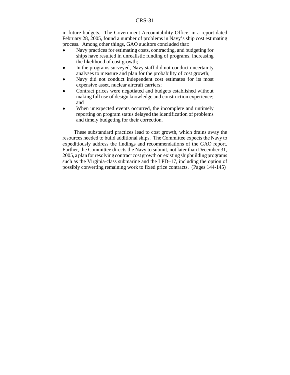in future budgets. The Government Accountability Office, in a report dated February 28, 2005, found a number of problems in Navy's ship cost estimating process. Among other things, GAO auditors concluded that:

- ! Navy practices for estimating costs, contracting, and budgeting for ships have resulted in unrealistic funding of programs, increasing the likelihood of cost growth;
- In the programs surveyed, Navy staff did not conduct uncertainty analyses to measure and plan for the probability of cost growth;
- ! Navy did not conduct independent cost estimates for its most expensive asset, nuclear aircraft carriers;
- ! Contract prices were negotiated and budgets established without making full use of design knowledge and construction experience; and
- When unexpected events occurred, the incomplete and untimely reporting on program status delayed the identification of problems and timely budgeting for their correction.

These substandard practices lead to cost growth, which drains away the resources needed to build additional ships. The Committee expects the Navy to expeditiously address the findings and recommendations of the GAO report. Further, the Committee directs the Navy to submit, not later than December 31, 2005, a plan for resolving contract cost growth on existing shipbuilding programs such as the Virginia-class submarine and the LPD–17, including the option of possibly converting remaining work to fixed price contracts. (Pages 144-145)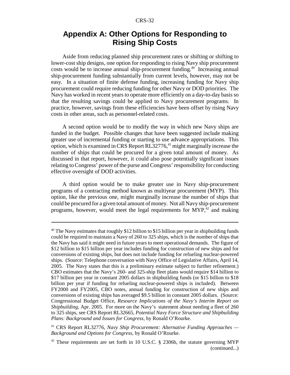# **Appendix A: Other Options for Responding to Rising Ship Costs**

Aside from reducing planned ship procurement rates or shifting or shifting to lower-cost ship designs, one option for responding to rising Navy ship procurement costs would be to increase annual ship-procurement funding.40 Increasing annual ship-procurement funding substantially from current levels, however, may not be easy. In a situation of finite defense funding, increasing funding for Navy ship procurement could require reducing funding for other Navy or DOD priorities. The Navy has worked in recent years to operate more efficiently on a day-to-day basis so that the resulting savings could be applied to Navy procurement programs. In practice, however, savings from these efficiencies have been offset by rising Navy costs in other areas, such as personnel-related costs.

A second option would be to modify the way in which new Navy ships are funded in the budget. Possible changes that have been suggested include making greater use of incremental funding or starting to use advance appropriations. This option, which is examined in CRS Report RL32776, $41$  might marginally increase the number of ships that could be procured for a given total amount of money. As discussed in that report, however, it could also pose potentially significant issues relating to Congress' power of the purse and Congress' responsibility for conducting effective oversight of DOD activities.

A third option would be to make greater use in Navy ship-procurement programs of a contracting method known as multiyear procurement (MYP). This option, like the previous one, might marginally increase the number of ships that could be procured for a given total amount of money. Not all Navy ship-procurement programs, however, would meet the legal requirements for  $MYP<sub>1</sub><sup>42</sup>$  and making

<sup>&</sup>lt;sup>40</sup> The Navy estimates that roughly \$12 billion to \$15 billion per year in shipbuilding funds could be required to maintain a Navy of 260 to 325 ships, which is the number of ships that the Navy has said it might need in future years to meet operational demands. The figure of \$12 billion to \$15 billion per year includes funding for construction of new ships and for conversions of existing ships, but does not include funding for refueling nuclear-powered ships. (Source: Telephone conversation with Navy Office of Legislative Affairs, April 14, 2005. The Navy states that this is a preliminary estimate subject to further refinement.) CBO estimates that the Navy's 260- and 325-ship fleet plans would require \$14 billion to \$17 billion per year in constant 2005 dollars in shipbuilding funds (or \$15 billion to \$18 billion per year if funding for refueling nuclear-powered ships is included). Between FY2000 and FY2005, CBO notes, annual funding for construction of new ships and conversions of existing ships has averaged \$9.5 billion in constant 2005 dollars. (Source: Congressional Budget Office, *Resource Implications of the Navy's Interim Report on Shipbuilding*, Apr. 2005. For more on the Navy's statement about needing a fleet of 260 to 325 ships, see CRS Report RL32665, *Potential Navy Force Structure and Shipbuilding Plans: Background and Issues for Congress*, by Ronald O'Rourke.

<sup>41</sup> CRS Report RL32776, *Navy Ship Procurement: Alternative Funding Approaches — Background and Options for Congress*, by Ronald O'Rourke.

<sup>42</sup> These requirements are set forth in 10 U.S.C. § 2306b, the statute governing MYP (continued...)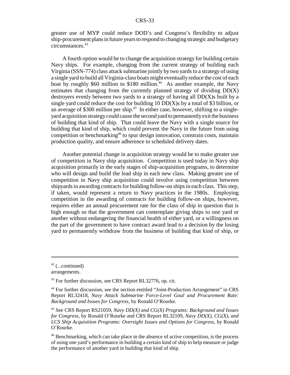greater use of MYP could reduce DOD's and Congress's flexibility to adjust ship-procurement plans in future years to respond to changing strategic and budgetary circumstances.43

A fourth option would be to change the acquisition strategy for building certain Navy ships. For example, changing from the current strategy of building each Virginia (SSN-774) class attack submarine jointly by two yards to a strategy of using a single yard to build all Virginia-class boats might eventually reduce the cost of each boat by roughly \$60 million to \$180 million.<sup>44</sup> As another example, the Navy estimates that changing from the currently planned strategy of dividing DD(X) destroyers evenly between two yards to a strategy of having all DD(X)s built by a single yard could reduce the cost for building  $10$  DD(X)s by a total of \$3 billion, or an average of \$300 million per ship.45 In either case, however, shifting to a singleyard acquisition strategy could cause the second yard to permanently exit the business of building that kind of ship. That could leave the Navy with a single source for building that kind of ship, which could prevent the Navy in the future from using competition or benchmarking<sup>46</sup> to spur design innovation, constrain costs, maintain production quality, and ensure adherence to scheduled delivery dates.

Another potential change in acquisition strategy would be to make greater use of competition in Navy ship acquisition. Competition is used today in Navy ship acquisition primarily in the early stages of ship-acquisition programs, to determine who will design and build the lead ship in each new class. Making greater use of competition in Navy ship acquisition could involve using competition between shipyards in awarding contracts for building follow-on ships in each class. This step, if taken, would represent a return to Navy practices in the 1980s. Employing competition in the awarding of contracts for building follow-on ships, however, requires either an annual procurement rate for the class of ship in question that is high enough so that the government can contemplate giving ships to one yard or another without endangering the financial health of either yard, or a willingness on the part of the government to have contract award lead to a decision by the losing yard to permanently withdraw from the business of building that kind of ship, or

 $42$  (...continued)

arrangements.

<sup>43</sup> For further discussion, see CRS Report RL32776, op. cit.

<sup>&</sup>lt;sup>44</sup> For further discussion, see the section entitled "Joint-Production Arrangement" in CRS Report RL32418, *Navy Attack Submarine Force-Level Goal and Procurement Rate: Background and Issues for Congress*, by Ronald O'Rourke.

<sup>45</sup> See CRS Report RS21059, *Navy DD(X) and CG(X) Programs: Background and Issues for Congress*, by Ronald O'Rourke and CRS Report RL32109, *Navy DD(X), CG(X), and LCS Ship Acquisition Programs: Oversight Issues and Options for Congress*, by Ronald O'Rourke.

<sup>46</sup> Benchmarking, which can take place in the absence of active competition, is the process of using one yard's performance in building a certain kind of ship to help measure or judge the performance of another yard in building that kind of ship.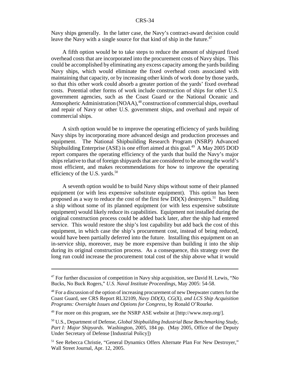Navy ships generally. In the latter case, the Navy's contract-award decision could leave the Navy with a single source for that kind of ship in the future.<sup>47</sup>

A fifth option would be to take steps to reduce the amount of shipyard fixed overhead costs that are incorporated into the procurement costs of Navy ships. This could be accomplished by eliminating any excess capacity among the yards building Navy ships, which would eliminate the fixed overhead costs associated with maintaining that capacity, or by increasing other kinds of work done by those yards, so that this other work could absorb a greater portion of the yards' fixed overhead costs. Potential other forms of work include construction of ships for other U.S. government agencies, such as the Coast Guard or the National Oceanic and Atmospheric Administration (NOAA),<sup>48</sup> construction of commercial ships, overhaul and repair of Navy or other U.S. government ships, and overhaul and repair of commercial ships.

A sixth option would be to improve the operating efficiency of yards building Navy ships by incorporating more advanced design and production processes and equipment. The National Shipbuilding Research Program (NSRP) Advanced Shipbuilding Enterprise (ASE) is one effort aimed at this goal.<sup>49</sup> A May 2005 DOD report compares the operating efficiency of the yards that build the Navy's major ships relative to that of foreign shipyards that are considered to be among the world's most efficient, and makes recommendations for how to improve the operating efficiency of the U.S. yards. $50$ 

A seventh option would be to build Navy ships without some of their planned equipment (or with less expensive substitute equipment). This option has been proposed as a way to reduce the cost of the first few  $DD(X)$  destroyers.<sup>51</sup> Building a ship without some of its planned equipment (or with less expensive substitute equipment) would likely reduce its capabilities. Equipment not installed during the original construction process could be added back later, after the ship had entered service. This would restore the ship's lost capability but add back the cost of this equipment, in which case the ship's procurement cost, instead of being reduced, would have been partially deferred into the future. Installing this equipment on an in-service ship, moreover, may be more expensive than building it into the ship during its original construction process. As a consequence, this strategy over the long run could increase the procurement total cost of the ship above what it would

 $47$  For further discussion of competition in Navy ship acquisition, see David H. Lewis, "No Bucks, No Buck Rogers," *U.S. Naval Institute Proceedings*, May 2005: 54-58.

 $48$  For a discussion of the option of increasing procurement of new Deepwater cutters for the Coast Guard, see CRS Report RL32109, *Navy DD(X), CG(X), and LCS Ship Acquisition Programs: Oversight Issues and Options for Congress*, by Ronald O'Rourke.

 $49$  For more on this program, see the NSRP ASE website at [http://www.nsrp.org/].

<sup>50</sup> U.S., Department of Defense, *Global Shipbuilding Industrial Base Benchmarking Study, Part I: Major Shipyards*. Washington, 2005, 184 pp. (May 2005, Office of the Deputy Under Secretary of Defense [Industrial Policy])

<sup>51</sup> See Rebecca Christie, "General Dynamics Offers Alternate Plan For New Destroyer," Wall Street Journal, Apr. 12, 2005.